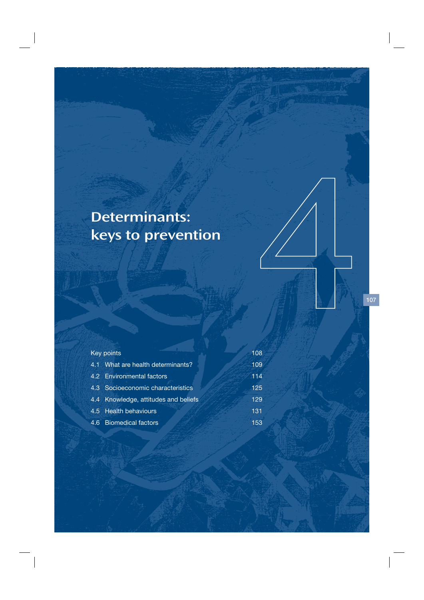# Determinants: keys to prevention

| Key points                           | 108 |
|--------------------------------------|-----|
| 4.1 What are health determinants?    | 109 |
| 4.2 Environmental factors            | 114 |
| 4.3 Socioeconomic characteristics    | 125 |
| 4.4 Knowledge, attitudes and beliefs | 129 |
| 4.5 Health behaviours                | 131 |
| 4.6 Biomedical factors               | 153 |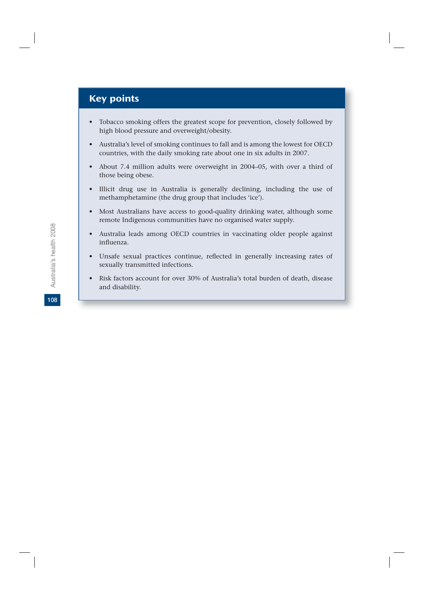# Key points

- Tobacco smoking offers the greatest scope for prevention, closely followed by high blood pressure and overweight/obesity.
- Australia's level of smoking continues to fall and is among the lowest for OECD countries, with the daily smoking rate about one in six adults in 2007.
- About 7.4 million adults were overweight in 2004–05, with over a third of those being obese.
- Illicit drug use in Australia is generally declining, including the use of methamphetamine (the drug group that includes 'ice').
- Most Australians have access to good-quality drinking water, although some remote Indigenous communities have no organised water supply.
- Australia leads among OECD countries in vaccinating older people against influenza.
- Unsafe sexual practices continue, reflected in generally increasing rates of sexually transmitted infections.
- Risk factors account for over 30% of Australia's total burden of death, disease and disability.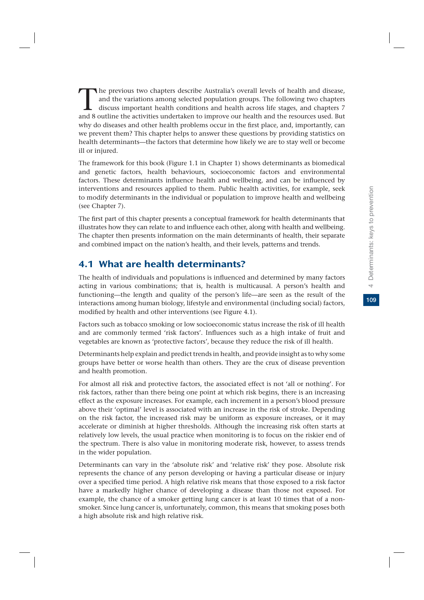The previous two chapters describe Australia's overall levels of health and disease, and the variations among selected population groups. The following two chapters discuss important health conditions and health across lif and the variations among selected population groups. The following two chapters discuss important health conditions and health across life stages, and chapters 7 and 8 outline the activities undertaken to improve our health and the resources used. But why do diseases and other health problems occur in the first place, and, importantly, can we prevent them? This chapter helps to answer these questions by providing statistics on health determinants—the factors that determine how likely we are to stay well or become ill or injured.

The framework for this book (Figure 1.1 in Chapter 1) shows determinants as biomedical and genetic factors, health behaviours, socioeconomic factors and environmental factors. These determinants influence health and wellbeing, and can be influenced by interventions and resources applied to them. Public health activities, for example, seek to modify determinants in the individual or population to improve health and wellbeing (see Chapter 7).

The first part of this chapter presents a conceptual framework for health determinants that illustrates how they can relate to and influence each other, along with health and wellbeing. The chapter then presents information on the main determinants of health, their separate and combined impact on the nation's health, and their levels, patterns and trends.

# 4.1 What are health determinants?

The health of individuals and populations is influenced and determined by many factors acting in various combinations; that is, health is multicausal. A person's health and functioning—the length and quality of the person's life—are seen as the result of the interactions among human biology, lifestyle and environmental (including social) factors, modified by health and other interventions (see Figure 4.1).

Factors such as tobacco smoking or low socioeconomic status increase the risk of ill health and are commonly termed 'risk factors'. Influences such as a high intake of fruit and vegetables are known as 'protective factors', because they reduce the risk of ill health.

Determinants help explain and predict trends in health, and provide insight as to why some groups have better or worse health than others. They are the crux of disease prevention and health promotion.

For almost all risk and protective factors, the associated effect is not 'all or nothing'. For risk factors, rather than there being one point at which risk begins, there is an increasing effect as the exposure increases. For example, each increment in a person's blood pressure above their 'optimal' level is associated with an increase in the risk of stroke. Depending on the risk factor, the increased risk may be uniform as exposure increases, or it may accelerate or diminish at higher thresholds. Although the increasing risk often starts at relatively low levels, the usual practice when monitoring is to focus on the riskier end of the spectrum. There is also value in monitoring moderate risk, however, to assess trends in the wider population.

Determinants can vary in the 'absolute risk' and 'relative risk' they pose. Absolute risk represents the chance of any person developing or having a particular disease or injury over a specified time period. A high relative risk means that those exposed to a risk factor have a markedly higher chance of developing a disease than those not exposed. For example, the chance of a smoker getting lung cancer is at least 10 times that of a nonsmoker. Since lung cancer is, unfortunately, common, this means that smoking poses both a high absolute risk and high relative risk.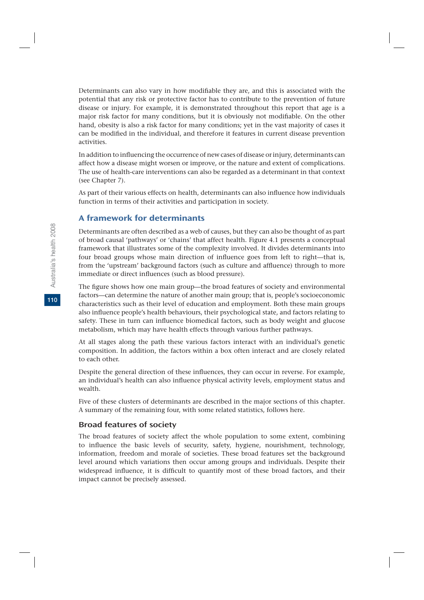Determinants can also vary in how modifiable they are, and this is associated with the potential that any risk or protective factor has to contribute to the prevention of future disease or injury. For example, it is demonstrated throughout this report that age is a major risk factor for many conditions, but it is obviously not modifiable. On the other hand, obesity is also a risk factor for many conditions; yet in the vast majority of cases it can be modified in the individual, and therefore it features in current disease prevention activities.

In addition to influencing the occurrence of new cases of disease or injury, determinants can affect how a disease might worsen or improve, or the nature and extent of complications. The use of health-care interventions can also be regarded as a determinant in that context (see Chapter 7).

As part of their various effects on health, determinants can also influence how individuals function in terms of their activities and participation in society.

# A framework for determinants

Determinants are often described as a web of causes, but they can also be thought of as part of broad causal 'pathways' or 'chains' that affect health. Figure 4.1 presents a conceptual framework that illustrates some of the complexity involved. It divides determinants into four broad groups whose main direction of influence goes from left to right—that is, from the 'upstream' background factors (such as culture and affluence) through to more immediate or direct influences (such as blood pressure).

The figure shows how one main group—the broad features of society and environmental factors—can determine the nature of another main group; that is, people's socioeconomic characteristics such as their level of education and employment. Both these main groups also influence people's health behaviours, their psychological state, and factors relating to safety. These in turn can influence biomedical factors, such as body weight and glucose metabolism, which may have health effects through various further pathways.

At all stages along the path these various factors interact with an individual's genetic composition. In addition, the factors within a box often interact and are closely related to each other.

Despite the general direction of these influences, they can occur in reverse. For example, an individual's health can also influence physical activity levels, employment status and wealth.

Five of these clusters of determinants are described in the major sections of this chapter*.* A summary of the remaining four, with some related statistics, follows here.

#### Broad features of society

The broad features of society affect the whole population to some extent, combining to influence the basic levels of security, safety, hygiene, nourishment, technology, information, freedom and morale of societies. These broad features set the background level around which variations then occur among groups and individuals. Despite their widespread influence, it is difficult to quantify most of these broad factors, and their impact cannot be precisely assessed.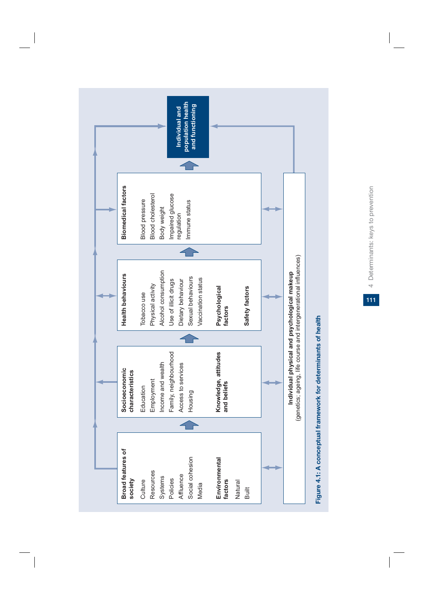

4 Determinants: keys to prevention **111**4 Determinants: keys to prevention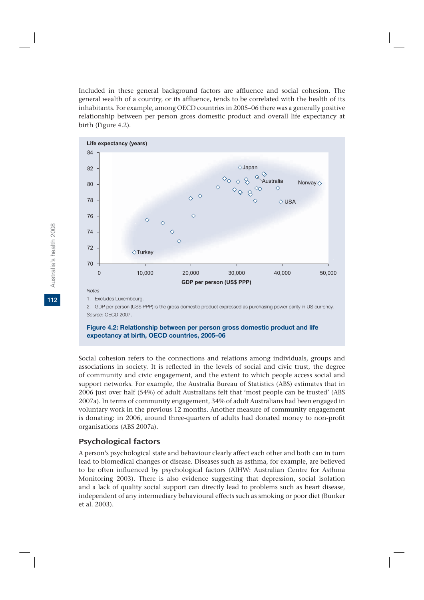Included in these general background factors are affluence and social cohesion. The general wealth of a country, or its affluence, tends to be correlated with the health of its inhabitants. For example, among OECD countries in 2005–06 there was a generally positive relationship between per person gross domestic product and overall life expectancy at birth (Figure 4.2).



2. GDP per person (US\$ PPP) is the gross domestic product expressed as purchasing power parity in US currency. *Source:* OECD 2007.

#### **Figure 4.2: Relationship between per person gross domestic product and life expectancy at birth, OECD countries, 2005–06**

Social cohesion refers to the connections and relations among individuals, groups and associations in society. It is reflected in the levels of social and civic trust, the degree of community and civic engagement, and the extent to which people access social and support networks. For example, the Australia Bureau of Statistics (ABS) estimates that in 2006 just over half (54%) of adult Australians felt that 'most people can be trusted' (ABS 2007a). In terms of community engagement, 34% of adult Australians had been engaged in voluntary work in the previous 12 months. Another measure of community engagement is donating: in 2006, around three-quarters of adults had donated money to non-profit organisations (ABS 2007a).

#### Psychological factors

A person's psychological state and behaviour clearly affect each other and both can in turn lead to biomedical changes or disease. Diseases such as asthma, for example, are believed to be often influenced by psychological factors (AIHW: Australian Centre for Asthma Monitoring 2003). There is also evidence suggesting that depression, social isolation and a lack of quality social support can directly lead to problems such as heart disease, independent of any intermediary behavioural effects such as smoking or poor diet (Bunker et al. 2003).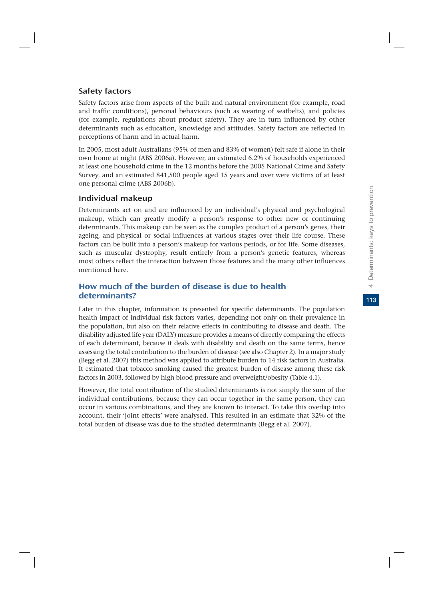# Safety factors

Safety factors arise from aspects of the built and natural environment (for example, road and traffic conditions), personal behaviours (such as wearing of seatbelts), and policies (for example, regulations about product safety). They are in turn influenced by other determinants such as education, knowledge and attitudes. Safety factors are reflected in perceptions of harm and in actual harm.

In 2005, most adult Australians (95% of men and 83% of women) felt safe if alone in their own home at night (ABS 2006a). However, an estimated 6.2% of households experienced at least one household crime in the 12 months before the 2005 National Crime and Safety Survey, and an estimated 841,500 people aged 15 years and over were victims of at least one personal crime (ABS 2006b).

# Individual makeup

Determinants act on and are influenced by an individual's physical and psychological makeup, which can greatly modify a person's response to other new or continuing determinants. This makeup can be seen as the complex product of a person's genes, their ageing, and physical or social influences at various stages over their life course. These factors can be built into a person's makeup for various periods, or for life. Some diseases, such as muscular dystrophy, result entirely from a person's genetic features, whereas most others reflect the interaction between those features and the many other influences mentioned here.

# How much of the burden of disease is due to health determinants?

Later in this chapter, information is presented for specific determinants. The population health impact of individual risk factors varies, depending not only on their prevalence in the population, but also on their relative effects in contributing to disease and death. The disability adjusted life year (DALY) measure provides a means of directly comparing the effects of each determinant, because it deals with disability and death on the same terms, hence assessing the total contribution to the burden of disease (see also Chapter 2). In a major study (Begg et al. 2007) this method was applied to attribute burden to 14 risk factors in Australia. It estimated that tobacco smoking caused the greatest burden of disease among these risk factors in 2003, followed by high blood pressure and overweight/obesity (Table 4.1).

However, the total contribution of the studied determinants is not simply the sum of the individual contributions, because they can occur together in the same person, they can occur in various combinations, and they are known to interact. To take this overlap into account, their 'joint effects' were analysed. This resulted in an estimate that 32% of the total burden of disease was due to the studied determinants (Begg et al. 2007).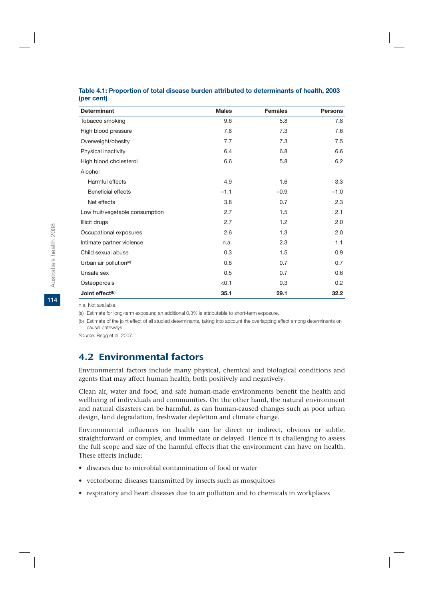| <b>Determinant</b>                 | <b>Males</b> | <b>Females</b> | <b>Persons</b> |
|------------------------------------|--------------|----------------|----------------|
| Tobacco smoking                    | 9.6          | 5.8            | 7.8            |
| High blood pressure                | 7.8          | 7.3            | 7.6            |
| Overweight/obesity                 | 7.7          | 7.3            | 7.5            |
| Physical inactivity                | 6.4          | 6.8            | 6.6            |
| High blood cholesterol             | 6.6          | 5.8            | 6.2            |
| Alcohol                            |              |                |                |
| Harmful effects                    | 4.9          | 1.6            | 3.3            |
| Beneficial effects                 | $-1.1$       | $-0.9$         | $-1.0$         |
| Net effects                        | 3.8          | 0.7            | 2.3            |
| Low fruit/vegetable consumption    | 2.7          | 1.5            | 2.1            |
| Illicit drugs                      | 2.7          | 1.2            | 2.0            |
| Occupational exposures             | 2.6          | 1.3            | 2.0            |
| Intimate partner violence          | n.a.         | 2.3            | 1.1            |
| Child sexual abuse                 | 0.3          | 1.5            | 0.9            |
| Urban air pollution <sup>(a)</sup> | 0.8          | 0.7            | 0.7            |
| Unsafe sex                         | 0.5          | 0.7            | 0.6            |
| Osteoporosis                       | < 0.1        | 0.3            | 0.2            |
| Joint effect <sup>(b)</sup>        | 35.1         | 29.1           | 32.2           |

#### **Table 4.1: Proportion of total disease burden attributed to determinants of health, 2003 (per cent)**

n.a. Not available.

(a) Estimate for long-term exposure; an additional 0.3% is attributable to short-term exposure.

(b) Estimate of the joint effect of all studied determinants, taking into account the overlapping effect among determinants on causal pathways.

*Source:* Begg et al. 2007.

# 4.2 Environmental factors

Environmental factors include many physical, chemical and biological conditions and agents that may affect human health, both positively and negatively.

Clean air, water and food, and safe human-made environments benefit the health and wellbeing of individuals and communities. On the other hand, the natural environment and natural disasters can be harmful, as can human-caused changes such as poor urban design, land degradation, freshwater depletion and climate change.

Environmental influences on health can be direct or indirect, obvious or subtle, straightforward or complex, and immediate or delayed. Hence it is challenging to assess the full scope and size of the harmful effects that the environment can have on health. These effects include:

- diseases due to microbial contamination of food or water
- vectorborne diseases transmitted by insects such as mosquitoes
- respiratory and heart diseases due to air pollution and to chemicals in workplaces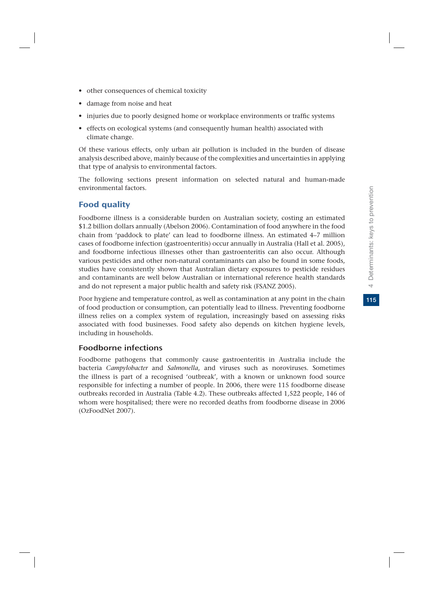- other consequences of chemical toxicity
- damage from noise and heat
- injuries due to poorly designed home or workplace environments or traffic systems
- effects on ecological systems (and consequently human health) associated with climate change.

Of these various effects, only urban air pollution is included in the burden of disease analysis described above, mainly because of the complexities and uncertainties in applying that type of analysis to environmental factors.

The following sections present information on selected natural and human-made environmental factors.

#### Food quality

Foodborne illness is a considerable burden on Australian society, costing an estimated \$1.2 billion dollars annually (Abelson 2006). Contamination of food anywhere in the food chain from 'paddock to plate' can lead to foodborne illness. An estimated 4–7 million cases of foodborne infection (gastroenteritis) occur annually in Australia (Hall et al. 2005), and foodborne infectious illnesses other than gastroenteritis can also occur. Although various pesticides and other non-natural contaminants can also be found in some foods, studies have consistently shown that Australian dietary exposures to pesticide residues and contaminants are well below Australian or international reference health standards and do not represent a major public health and safety risk (FSANZ 2005).

Poor hygiene and temperature control, as well as contamination at any point in the chain of food production or consumption, can potentially lead to illness. Preventing foodborne illness relies on a complex system of regulation, increasingly based on assessing risks associated with food businesses. Food safety also depends on kitchen hygiene levels, including in households.

#### Foodborne infections

Foodborne pathogens that commonly cause gastroenteritis in Australia include the bacteria *Campylobacter* and *Salmonella*, and viruses such as noroviruses. Sometimes the illness is part of a recognised 'outbreak', with a known or unknown food source responsible for infecting a number of people. In 2006, there were 115 foodborne disease outbreaks recorded in Australia (Table 4.2). These outbreaks affected 1,522 people, 146 of whom were hospitalised; there were no recorded deaths from foodborne disease in 2006 (OzFoodNet 2007).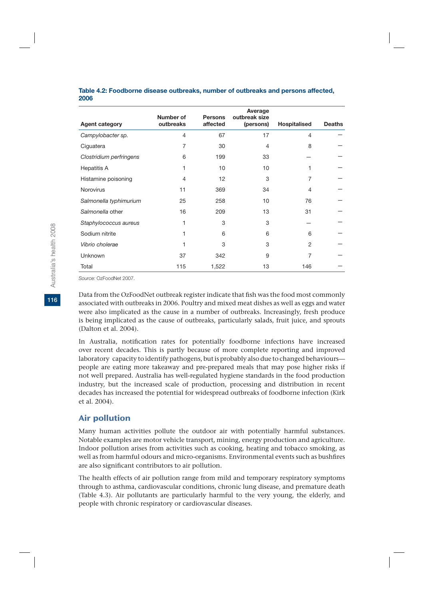#### **Table 4.2: Foodborne disease outbreaks, number of outbreaks and persons affected, 2006**

|                         | Number of      | <b>Persons</b>    | Average<br>outbreak size |                |               |
|-------------------------|----------------|-------------------|--------------------------|----------------|---------------|
| <b>Agent category</b>   | outbreaks      | affected          | (persons)                | Hospitalised   | <b>Deaths</b> |
| Campylobacter sp.       | $\overline{4}$ | 67                | 17                       | 4              |               |
| Ciguatera               | 7              | 30                | 4                        | 8              |               |
| Clostridium perfringens | 6              | 199               | 33                       |                |               |
| Hepatitis A             | 1              | 10                | 10                       |                |               |
| Histamine poisoning     | 4              | $12 \overline{ }$ | 3                        | 7              |               |
| <b>Norovirus</b>        | 11             | 369               | 34                       | 4              |               |
| Salmonella typhimurium  | 25             | 258               | 10                       | 76             |               |
| Salmonella other        | 16             | 209               | 13                       | 31             |               |
| Staphylococcus aureus   | 1              | 3                 | 3                        |                |               |
| Sodium nitrite          | 1              | 6                 | 6                        | 6              |               |
| Vibrio cholerae         | 1              | 3                 | 3                        | $\overline{2}$ |               |
| Unknown                 | 37             | 342               | 9                        | 7              |               |
| Total                   | 115            | 1,522             | 13                       | 146            |               |

*Source:* OzFoodNet 2007.

Data from the OzFoodNet outbreak register indicate that fish was the food most commonly associated with outbreaks in 2006. Poultry and mixed meat dishes as well as eggs and water were also implicated as the cause in a number of outbreaks. Increasingly, fresh produce is being implicated as the cause of outbreaks, particularly salads, fruit juice, and sprouts (Dalton et al. 2004).

In Australia, notification rates for potentially foodborne infections have increased over recent decades. This is partly because of more complete reporting and improved laboratory capacity to identify pathogens, but is probably also due to changed behaviours people are eating more takeaway and pre-prepared meals that may pose higher risks if not well prepared. Australia has well-regulated hygiene standards in the food production industry, but the increased scale of production, processing and distribution in recent decades has increased the potential for widespread outbreaks of foodborne infection (Kirk et al. 2004).

# Air pollution

Many human activities pollute the outdoor air with potentially harmful substances. Notable examples are motor vehicle transport, mining, energy production and agriculture. Indoor pollution arises from activities such as cooking, heating and tobacco smoking, as well as from harmful odours and micro-organisms. Environmental events such as bushfires are also significant contributors to air pollution.

The health effects of air pollution range from mild and temporary respiratory symptoms through to asthma, cardiovascular conditions, chronic lung disease, and premature death (Table 4.3). Air pollutants are particularly harmful to the very young, the elderly, and people with chronic respiratory or cardiovascular diseases.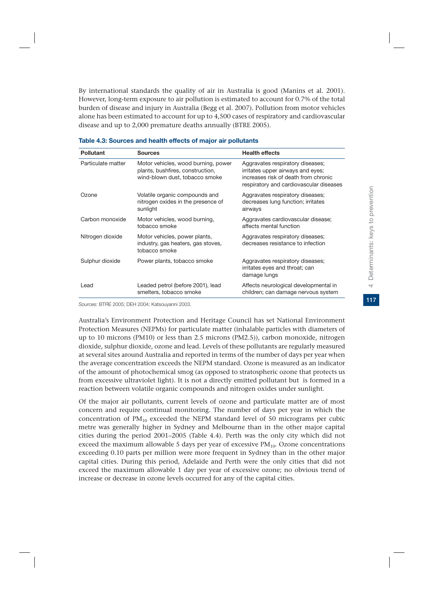By international standards the quality of air in Australia is good (Manins et al. 2001). However, long-term exposure to air pollution is estimated to account for 0.7% of the total burden of disease and injury in Australia (Begg et al. 2007). Pollution from motor vehicles alone has been estimated to account for up to 4,500 cases of respiratory and cardiovascular disease and up to 2,000 premature deaths annually (BTRE 2005).

| <b>Pollutant</b>   | Sources                                                                                                   | <b>Health effects</b>                                                                                                                                    |
|--------------------|-----------------------------------------------------------------------------------------------------------|----------------------------------------------------------------------------------------------------------------------------------------------------------|
| Particulate matter | Motor vehicles, wood burning, power<br>plants, bushfires, construction,<br>wind-blown dust, tobacco smoke | Aggravates respiratory diseases;<br>irritates upper airways and eyes;<br>increases risk of death from chronic<br>respiratory and cardiovascular diseases |
| Ozone              | Volatile organic compounds and<br>nitrogen oxides in the presence of<br>sunlight                          | Aggravates respiratory diseases;<br>decreases lung function; irritates<br>airways                                                                        |
| Carbon monoxide    | Motor vehicles, wood burning,<br>tobacco smoke                                                            | Aggravates cardiovascular disease;<br>affects mental function                                                                                            |
| Nitrogen dioxide   | Motor vehicles, power plants,<br>industry, gas heaters, gas stoves,<br>tobacco smoke                      | Aggravates respiratory diseases;<br>decreases resistance to infection                                                                                    |
| Sulphur dioxide    | Power plants, tobacco smoke                                                                               | Aggravates respiratory diseases;<br>irritates eyes and throat; can<br>damage lungs                                                                       |
| Lead               | Leaded petrol (before 2001), lead<br>smelters, tobacco smoke                                              | Affects neurological developmental in<br>children; can damage nervous system                                                                             |

| Table 4.3: Sources and health effects of major air pollutants |  |  |  |  |
|---------------------------------------------------------------|--|--|--|--|
|---------------------------------------------------------------|--|--|--|--|

*Sources:* BTRE 2005; DEH 2004; Katsouyanni 2003.

Australia's Environment Protection and Heritage Council has set National Environment Protection Measures (NEPMs) for particulate matter (inhalable particles with diameters of up to 10 microns (PM10) or less than 2.5 microns (PM2.5)), carbon monoxide, nitrogen dioxide, sulphur dioxide, ozone and lead. Levels of these pollutants are regularly measured at several sites around Australia and reported in terms of the number of days per year when the average concentration exceeds the NEPM standard. Ozone is measured as an indicator of the amount of photochemical smog (as opposed to stratospheric ozone that protects us from excessive ultraviolet light). It is not a directly emitted pollutant but is formed in a reaction between volatile organic compounds and nitrogen oxides under sunlight.

Of the major air pollutants, current levels of ozone and particulate matter are of most concern and require continual monitoring. The number of days per year in which the concentration of  $PM_{10}$  exceeded the NEPM standard level of 50 micrograms per cubic metre was generally higher in Sydney and Melbourne than in the other major capital cities during the period 2001–2005 (Table 4.4). Perth was the only city which did not exceed the maximum allowable 5 days per year of excessive  $PM_{10}$ . Ozone concentrations exceeding 0.10 parts per million were more frequent in Sydney than in the other major capital cities. During this period, Adelaide and Perth were the only cities that did not exceed the maximum allowable 1 day per year of excessive ozone; no obvious trend of increase or decrease in ozone levels occurred for any of the capital cities.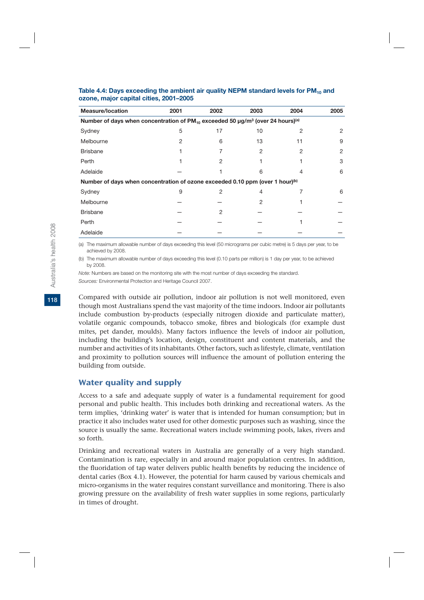| <b>Measure/location</b>                                                                                                 | 2001 | 2002 | 2003 | 2004 | 2005 |
|-------------------------------------------------------------------------------------------------------------------------|------|------|------|------|------|
| Number of days when concentration of PM <sub>10</sub> exceeded 50 $\mu$ g/m <sup>3</sup> (over 24 hours) <sup>(a)</sup> |      |      |      |      |      |
| Sydney                                                                                                                  | 5    | 17   | 10   | 2    | 2    |
| Melbourne                                                                                                               | 2    | 6    | 13   | 11   | 9    |
| <b>Brisbane</b>                                                                                                         |      |      | 2    | 2    | 2    |
| Perth                                                                                                                   |      | 2    |      |      | 3    |
| Adelaide                                                                                                                |      |      | 6    |      | 6    |
| Number of days when concentration of ozone exceeded 0.10 ppm (over 1 hour) <sup>(b)</sup>                               |      |      |      |      |      |
| Sydney                                                                                                                  | 9    | 2    | 4    |      | 6    |
| Melbourne                                                                                                               |      |      | 2    |      |      |
| <b>Brisbane</b>                                                                                                         |      | 2    |      |      |      |
| Perth                                                                                                                   |      |      |      |      |      |
| Adelaide                                                                                                                |      |      |      |      |      |

#### Table 4.4: Days exceeding the ambient air quality NEPM standard levels for PM<sub>10</sub> and **ozone, major capital cities, 2001–2005**

(a) The maximum allowable number of days exceeding this level (50 micrograms per cubic metre) is 5 days per year, to be achieved by 2008.

(b) The maximum allowable number of days exceeding this level (0.10 parts per million) is 1 day per year, to be achieved by 2008.

*Note:* Numbers are based on the monitoring site with the most number of days exceeding the standard. *Sources:* Environmental Protection and Heritage Council 2007.

Compared with outside air pollution, indoor air pollution is not well monitored, even though most Australians spend the vast majority of the time indoors. Indoor air pollutants include combustion by-products (especially nitrogen dioxide and particulate matter), volatile organic compounds, tobacco smoke, fibres and biologicals (for example dust mites, pet dander, moulds). Many factors influence the levels of indoor air pollution, including the building's location, design, constituent and content materials, and the number and activities of its inhabitants. Other factors, such as lifestyle, climate, ventilation and proximity to pollution sources will influence the amount of pollution entering the building from outside.

# Water quality and supply

Access to a safe and adequate supply of water is a fundamental requirement for good personal and public health. This includes both drinking and recreational waters. As the term implies, 'drinking water' is water that is intended for human consumption; but in practice it also includes water used for other domestic purposes such as washing, since the source is usually the same. Recreational waters include swimming pools, lakes, rivers and so forth.

Drinking and recreational waters in Australia are generally of a very high standard. Contamination is rare, especially in and around major population centres. In addition, the fluoridation of tap water delivers public health benefits by reducing the incidence of dental caries (Box 4.1). However, the potential for harm caused by various chemicals and micro-organisms in the water requires constant surveillance and monitoring. There is also growing pressure on the availability of fresh water supplies in some regions, particularly in times of drought.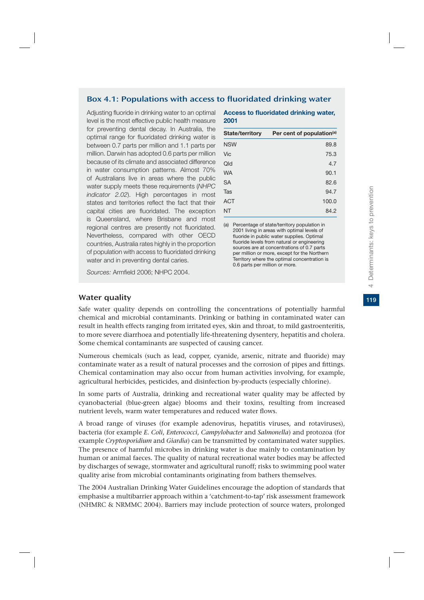#### Box 4.1: Populations with access to fluoridated drinking water

Adjusting fluoride in drinking water to an optimal level is the most effective public health measure for preventing dental decay. In Australia, the optimal range for fluoridated drinking water is between 0.7 parts per million and 1.1 parts per million. Darwin has adopted 0.6 parts per million because of its climate and associated difference in water consumption patterns. Almost 70% of Australians live in areas where the public water supply meets these requirements (*NHPC indicator 2.02*). High percentages in most states and territories reflect the fact that their capital cities are fluoridated. The exception is Queensland, where Brisbane and most regional centres are presently not fluoridated. Nevertheless, compared with other OECD countries, Australia rates highly in the proportion of population with access to fluoridated drinking water and in preventing dental caries.

*Sources:* Armfield 2006; NHPC 2004.

#### **Access to fluoridated drinking water, 2001**

| <b>State/territory</b> | Per cent of population <sup>(a)</sup> |
|------------------------|---------------------------------------|
| <b>NSW</b>             | 89.8                                  |
| Vic                    | 75.3                                  |
| Qld                    | 4.7                                   |
| <b>WA</b>              | 90.1                                  |
| <b>SA</b>              | 82.6                                  |
| Tas                    | 94.7                                  |
| <b>ACT</b>             | 100.0                                 |
| <b>NT</b>              | 84.2                                  |
|                        |                                       |

(a) Percentage of state/territory population in 2001 living in areas with optimal levels of fluoride in public water supplies. Optimal fluoride levels from natural or engineering sources are at concentrations of 0.7 parts per million or more, except for the Northern Territory where the optimal concentration is 0.6 parts per million or more.

#### Water quality

Safe water quality depends on controlling the concentrations of potentially harmful chemical and microbial contaminants. Drinking or bathing in contaminated water can result in health effects ranging from irritated eyes, skin and throat, to mild gastroenteritis, to more severe diarrhoea and potentially life-threatening dysentery, hepatitis and cholera. Some chemical contaminants are suspected of causing cancer.

Numerous chemicals (such as lead, copper, cyanide, arsenic, nitrate and fluoride) may contaminate water as a result of natural processes and the corrosion of pipes and fittings. Chemical contamination may also occur from human activities involving, for example, agricultural herbicides, pesticides, and disinfection by-products (especially chlorine).

In some parts of Australia, drinking and recreational water quality may be affected by cyanobacterial (blue-green algae) blooms and their toxins, resulting from increased nutrient levels, warm water temperatures and reduced water flows.

A broad range of viruses (for example adenovirus, hepatitis viruses, and rotaviruses), bacteria (for example *E. Coli*, *Enterococci*, *Campylobacter* and *Salmonella*) and protozoa (for example *Cryptosporidium* and *Giardia*) can be transmitted by contaminated water supplies. The presence of harmful microbes in drinking water is due mainly to contamination by human or animal faeces. The quality of natural recreational water bodies may be affected by discharges of sewage, stormwater and agricultural runoff; risks to swimming pool water quality arise from microbial contaminants originating from bathers themselves.

The 2004 Australian Drinking Water Guidelines encourage the adoption of standards that emphasise a multibarrier approach within a 'catchment-to-tap' risk assessment framework (NHMRC & NRMMC 2004). Barriers may include protection of source waters, prolonged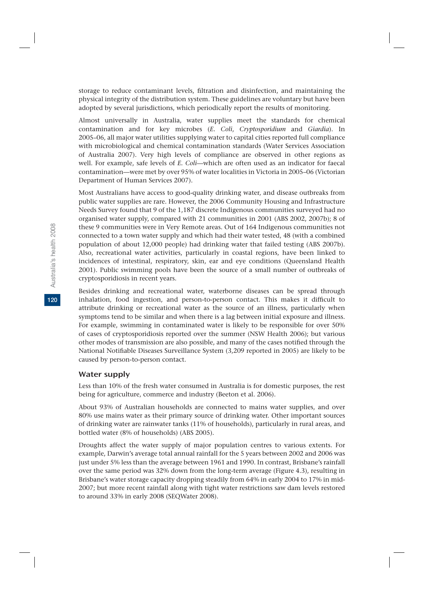storage to reduce contaminant levels, filtration and disinfection, and maintaining the physical integrity of the distribution system. These guidelines are voluntary but have been adopted by several jurisdictions, which periodically report the results of monitoring.

Almost universally in Australia, water supplies meet the standards for chemical contamination and for key microbes (*E. Coli*, *Cryptosporidium* and *Giardia*). In 2005–06, all major water utilities supplying water to capital cities reported full compliance with microbiological and chemical contamination standards (Water Services Association of Australia 2007). Very high levels of compliance are observed in other regions as well. For example, safe levels of *E. Coli*—which are often used as an indicator for faecal contamination—were met by over 95% of water localities in Victoria in 2005–06 (Victorian Department of Human Services 2007).

Most Australians have access to good-quality drinking water, and disease outbreaks from public water supplies are rare. However, the 2006 Community Housing and Infrastructure Needs Survey found that 9 of the 1,187 discrete Indigenous communities surveyed had no organised water supply, compared with 21 communities in 2001 (ABS 2002, 2007b); 8 of these 9 communities were in Very Remote areas. Out of 164 Indigenous communities not connected to a town water supply and which had their water tested, 48 (with a combined population of about 12,000 people) had drinking water that failed testing (ABS 2007b). Also, recreational water activities, particularly in coastal regions, have been linked to incidences of intestinal, respiratory, skin, ear and eye conditions (Queensland Health 2001). Public swimming pools have been the source of a small number of outbreaks of cryptosporidiosis in recent years.

Besides drinking and recreational water, waterborne diseases can be spread through inhalation, food ingestion, and person-to-person contact. This makes it difficult to attribute drinking or recreational water as the source of an illness, particularly when symptoms tend to be similar and when there is a lag between initial exposure and illness. For example, swimming in contaminated water is likely to be responsible for over 50% of cases of cryptosporidiosis reported over the summer (NSW Health 2006); but various other modes of transmission are also possible, and many of the cases notified through the National Notifiable Diseases Surveillance System (3,209 reported in 2005) are likely to be caused by person-to-person contact.

#### Water supply

Less than 10% of the fresh water consumed in Australia is for domestic purposes, the rest being for agriculture, commerce and industry (Beeton et al. 2006).

About 93% of Australian households are connected to mains water supplies, and over 80% use mains water as their primary source of drinking water. Other important sources of drinking water are rainwater tanks (11% of households), particularly in rural areas, and bottled water (8% of households) (ABS 2005).

Droughts affect the water supply of major population centres to various extents. For example, Darwin's average total annual rainfall for the 5 years between 2002 and 2006 was just under 5% less than the average between 1961 and 1990. In contrast, Brisbane's rainfall over the same period was 32% down from the long-term average (Figure 4.3), resulting in Brisbane's water storage capacity dropping steadily from 64% in early 2004 to 17% in mid-2007; but more recent rainfall along with tight water restrictions saw dam levels restored to around 33% in early 2008 (SEQWater 2008).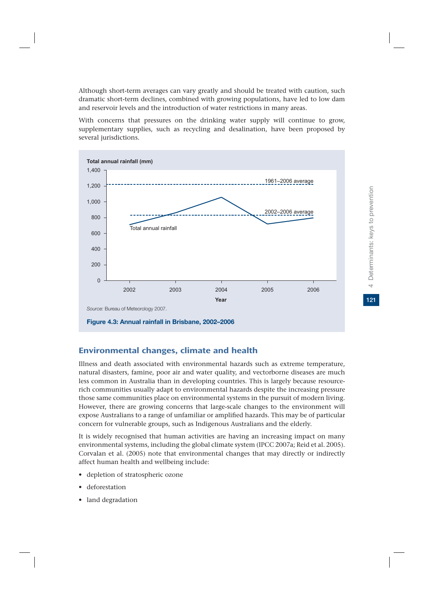Although short-term averages can vary greatly and should be treated with caution, such dramatic short-term declines, combined with growing populations, have led to low dam and reservoir levels and the introduction of water restrictions in many areas.

With concerns that pressures on the drinking water supply will continue to grow, supplementary supplies, such as recycling and desalination, have been proposed by several jurisdictions.



# Environmental changes, climate and health

Illness and death associated with environmental hazards such as extreme temperature, natural disasters, famine, poor air and water quality, and vectorborne diseases are much less common in Australia than in developing countries. This is largely because resourcerich communities usually adapt to environmental hazards despite the increasing pressure those same communities place on environmental systems in the pursuit of modern living. However, there are growing concerns that large-scale changes to the environment will expose Australians to a range of unfamiliar or amplified hazards. This may be of particular concern for vulnerable groups, such as Indigenous Australians and the elderly.

It is widely recognised that human activities are having an increasing impact on many environmental systems, including the global climate system (IPCC 2007a; Reid et al. 2005). Corvalan et al. (2005) note that environmental changes that may directly or indirectly affect human health and wellbeing include:

- depletion of stratospheric ozone
- deforestation
- land degradation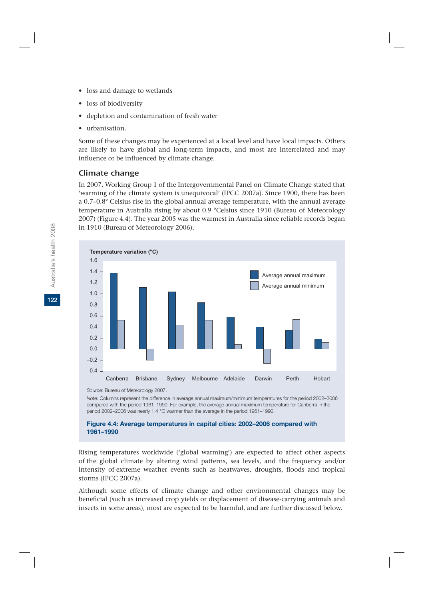- loss and damage to wetlands
- loss of biodiversity
- depletion and contamination of fresh water
- urbanisation.

Some of these changes may be experienced at a local level and have local impacts. Others are likely to have global and long-term impacts, and most are interrelated and may influence or be influenced by climate change.

# Climate change

In 2007, Working Group 1 of the Intergovernmental Panel on Climate Change stated that 'warming of the climate system is unequivocal' (IPCC 2007a). Since 1900, there has been a 0.7–0.8° Celsius rise in the global annual average temperature, with the annual average temperature in Australia rising by about 0.9 °Celsius since 1910 (Bureau of Meteorology 2007) (Figure 4.4). The year 2005 was the warmest in Australia since reliable records began in 1910 (Bureau of Meteorology 2006).



*Source:* Bureau of Meteorology 2007.

*Note:* Columns represent the difference in average annual maximum/minimum temperatures for the period 2002–2006 compared with the period 1961–1990. For example, the average annual maximum temperature for Canberra in the period 2002–2006 was nearly 1.4 °C warmer than the average in the period 1961–1990.

#### **Figure 4.4: Average temperatures in capital cities: 2002–2006 compared with 1961–1990**

Rising temperatures worldwide ('global warming') are expected to affect other aspects of the global climate by altering wind patterns, sea levels, and the frequency and/or intensity of extreme weather events such as heatwaves, droughts, floods and tropical storms (IPCC 2007a).

Although some effects of climate change and other environmental changes may be beneficial (such as increased crop yields or displacement of disease-carrying animals and insects in some areas), most are expected to be harmful, and are further discussed below.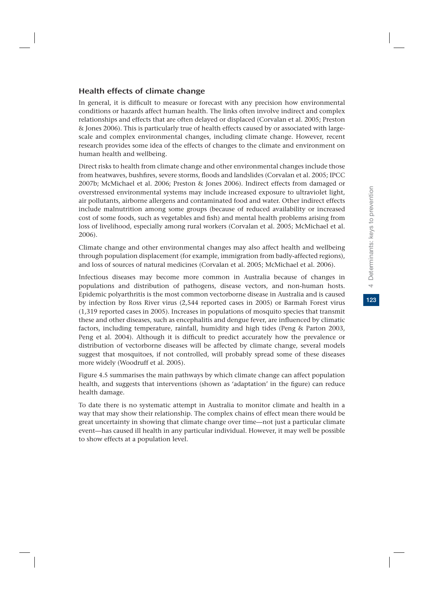# Health effects of climate change

In general, it is difficult to measure or forecast with any precision how environmental conditions or hazards affect human health. The links often involve indirect and complex relationships and effects that are often delayed or displaced (Corvalan et al. 2005; Preston & Jones 2006). This is particularly true of health effects caused by or associated with largescale and complex environmental changes, including climate change. However, recent research provides some idea of the effects of changes to the climate and environment on human health and wellbeing.

Direct risks to health from climate change and other environmental changes include those from heatwaves, bushfires, severe storms, floods and landslides (Corvalan et al. 2005; IPCC 2007b; McMichael et al. 2006; Preston & Jones 2006). Indirect effects from damaged or overstressed environmental systems may include increased exposure to ultraviolet light, air pollutants, airborne allergens and contaminated food and water. Other indirect effects include malnutrition among some groups (because of reduced availability or increased cost of some foods, such as vegetables and fish) and mental health problems arising from loss of livelihood, especially among rural workers (Corvalan et al. 2005; McMichael et al. 2006).

Climate change and other environmental changes may also affect health and wellbeing through population displacement (for example, immigration from badly-affected regions), and loss of sources of natural medicines (Corvalan et al. 2005; McMichael et al. 2006).

Infectious diseases may become more common in Australia because of changes in populations and distribution of pathogens, disease vectors, and non-human hosts. Epidemic polyarthritis is the most common vectorborne disease in Australia and is caused by infection by Ross River virus (2,544 reported cases in 2005) or Barmah Forest virus (1,319 reported cases in 2005). Increases in populations of mosquito species that transmit these and other diseases, such as encephalitis and dengue fever, are influenced by climatic factors, including temperature, rainfall, humidity and high tides (Peng & Parton 2003, Peng et al. 2004). Although it is difficult to predict accurately how the prevalence or distribution of vectorborne diseases will be affected by climate change, several models suggest that mosquitoes, if not controlled, will probably spread some of these diseases more widely (Woodruff et al. 2005).

Figure 4.5 summarises the main pathways by which climate change can affect population health, and suggests that interventions (shown as 'adaptation' in the figure) can reduce health damage.

To date there is no systematic attempt in Australia to monitor climate and health in a way that may show their relationship. The complex chains of effect mean there would be great uncertainty in showing that climate change over time—not just a particular climate event—has caused ill health in any particular individual. However, it may well be possible to show effects at a population level.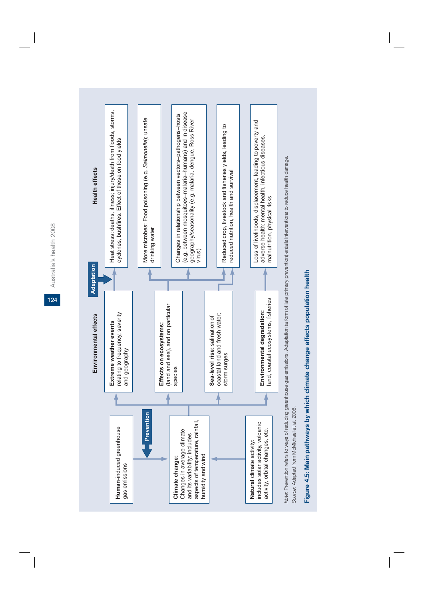Australia's health 2008 Australia's health 2008 **124**



Figure 4.5: Main pathways by which climate change affects population health **Figure 4.5: Main pathways by which climate change affects population health**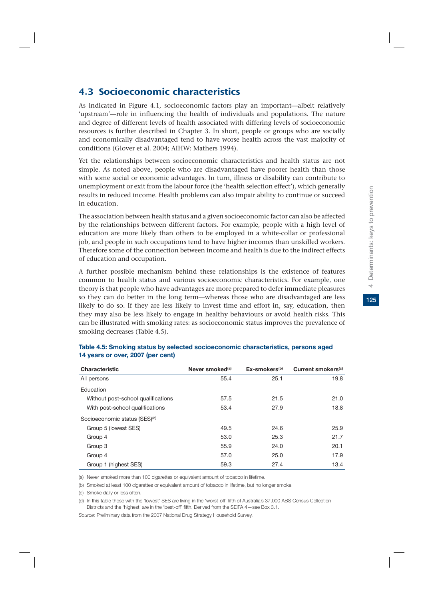# 4.3 Socioeconomic characteristics

As indicated in Figure 4.1, socioeconomic factors play an important—albeit relatively 'upstream'—role in influencing the health of individuals and populations. The nature and degree of different levels of health associated with differing levels of socioeconomic resources is further described in Chapter 3. In short, people or groups who are socially and economically disadvantaged tend to have worse health across the vast majority of conditions (Glover et al. 2004; AIHW: Mathers 1994).

Yet the relationships between socioeconomic characteristics and health status are not simple. As noted above, people who are disadvantaged have poorer health than those with some social or economic advantages. In turn, illness or disability can contribute to unemployment or exit from the labour force (the 'health selection effect'), which generally results in reduced income. Health problems can also impair ability to continue or succeed in education.

The association between health status and a given socioeconomic factor can also be affected by the relationships between different factors. For example, people with a high level of education are more likely than others to be employed in a white-collar or professional job, and people in such occupations tend to have higher incomes than unskilled workers. Therefore some of the connection between income and health is due to the indirect effects of education and occupation.

A further possible mechanism behind these relationships is the existence of features common to health status and various socioeconomic characteristics. For example, one theory is that people who have advantages are more prepared to defer immediate pleasures so they can do better in the long term—whereas those who are disadvantaged are less likely to do so. If they are less likely to invest time and effort in, say, education, then they may also be less likely to engage in healthy behaviours or avoid health risks. This can be illustrated with smoking rates: as socioeconomic status improves the prevalence of smoking decreases (Table 4.5).

| Characteristic                            | Never smoked <sup>(a)</sup> | $Ex\text{-smokes}^{(b)}$ | Current smokers <sup>(c)</sup> |
|-------------------------------------------|-----------------------------|--------------------------|--------------------------------|
| All persons                               | 55.4                        | 25.1                     | 19.8                           |
| Education                                 |                             |                          |                                |
| Without post-school qualifications        | 57.5                        | 21.5                     | 21.0                           |
| With post-school qualifications           | 53.4                        | 27.9                     | 18.8                           |
| Socioeconomic status (SES) <sup>(d)</sup> |                             |                          |                                |
| Group 5 (lowest SES)                      | 49.5                        | 24.6                     | 25.9                           |
| Group 4                                   | 53.0                        | 25.3                     | 21.7                           |
| Group 3                                   | 55.9                        | 24.0                     | 20.1                           |
| Group 4                                   | 57.0                        | 25.0                     | 17.9                           |
| Group 1 (highest SES)                     | 59.3                        | 27.4                     | 13.4                           |

#### **Table 4.5: Smoking status by selected socioeconomic characteristics, persons aged 14 years or over, 2007 (per cent)**

(a) Never smoked more than 100 cigarettes or equivalent amount of tobacco in lifetime.

(b) Smoked at least 100 cigarettes or equivalent amount of tobacco in lifetime, but no longer smoke.

(c) Smoke daily or less often.

(d) In this table those with the 'lowest' SES are living in the 'worst-off' fifth of Australia's 37,000 ABS Census Collection Districts and the 'highest' are in the 'best-off' fifth. Derived from the SEIFA 4—see Box 3.1.

*Source:* Preliminary data from the 2007 National Drug Strategy Household Survey.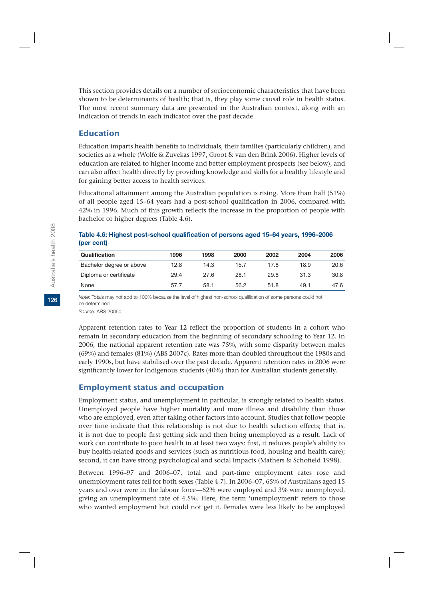This section provides details on a number of socioeconomic characteristics that have been shown to be determinants of health; that is, they play some causal role in health status. The most recent summary data are presented in the Australian context, along with an indication of trends in each indicator over the past decade.

# Education

Education imparts health benefits to individuals, their families (particularly children), and societies as a whole (Wolfe & Zuvekas 1997, Groot & van den Brink 2006). Higher levels of education are related to higher income and better employment prospects (see below), and can also affect health directly by providing knowledge and skills for a healthy lifestyle and for gaining better access to health services.

Educational attainment among the Australian population is rising. More than half (51%) of all people aged 15–64 years had a post-school qualification in 2006, compared with 42% in 1996. Much of this growth reflects the increase in the proportion of people with bachelor or higher degrees (Table 4.6).

#### **Table 4.6: Highest post-school qualification of persons aged 15–64 years, 1996–2006 (per cent)**

| Qualification            | 1996 | 1998 | 2000 | 2002 | 2004 | 2006 |
|--------------------------|------|------|------|------|------|------|
| Bachelor degree or above | 12.8 | 14.3 | 15.7 | 17.8 | 18.9 | 20.6 |
| Diploma or certificate   | 29.4 | 27.6 | 28.1 | 29.8 | 31.3 | 30.8 |
| None                     | 57.7 | 58.1 | 56.2 | 51.8 | 49.1 | 47.6 |

*Note:* Totals may not add to 100% because the level of highest non-school qualification of some persons could not be determined.

*Source:* ABS 2006c.

Apparent retention rates to Year 12 reflect the proportion of students in a cohort who remain in secondary education from the beginning of secondary schooling to Year 12. In 2006, the national apparent retention rate was 75%, with some disparity between males (69%) and females (81%) (ABS 2007c). Rates more than doubled throughout the 1980s and early 1990s, but have stabilised over the past decade. Apparent retention rates in 2006 were significantly lower for Indigenous students (40%) than for Australian students generally.

# Employment status and occupation

Employment status, and unemployment in particular, is strongly related to health status. Unemployed people have higher mortality and more illness and disability than those who are employed, even after taking other factors into account. Studies that follow people over time indicate that this relationship is not due to health selection effects; that is, it is not due to people first getting sick and then being unemployed as a result. Lack of work can contribute to poor health in at least two ways: first, it reduces people's ability to buy health-related goods and services (such as nutritious food, housing and health care); second, it can have strong psychological and social impacts (Mathers & Schofield 1998).

Between 1996–97 and 2006–07, total and part-time employment rates rose and unemployment rates fell for both sexes (Table 4.7). In 2006–07, 65% of Australians aged 15 years and over were in the labour force—62% were employed and 3% were unemployed, giving an unemployment rate of 4.5%. Here, the term 'unemployment' refers to those who wanted employment but could not get it. Females were less likely to be employed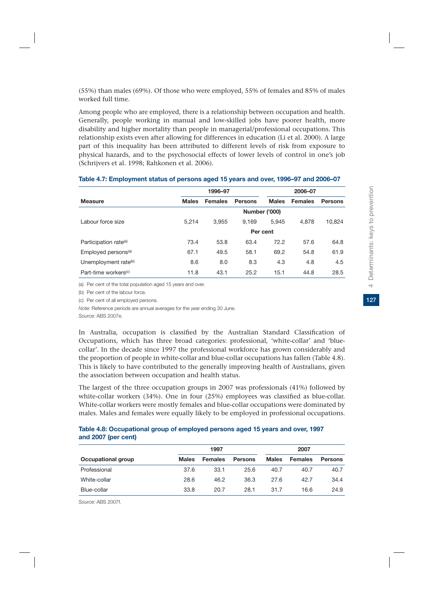(55%) than males (69%). Of those who were employed, 55% of females and 85% of males worked full time.

Among people who are employed, there is a relationship between occupation and health. Generally, people working in manual and low-skilled jobs have poorer health, more disability and higher mortality than people in managerial/professional occupations. This relationship exists even after allowing for differences in education (Li et al. 2000). A large part of this inequality has been attributed to different levels of risk from exposure to physical hazards, and to the psychosocial effects of lower levels of control in one's job (Schrijvers et al. 1998; Rahkonen et al. 2006).

|                                   |              | 2006-07        |                      |              |                |                |
|-----------------------------------|--------------|----------------|----------------------|--------------|----------------|----------------|
| <b>Measure</b>                    | <b>Males</b> | <b>Females</b> | <b>Persons</b>       | <b>Males</b> | <b>Females</b> | <b>Persons</b> |
|                                   |              |                | <b>Number ('000)</b> |              |                |                |
| Labour force size                 | 5.214        | 3.955          | 9.169                | 5.945        | 4,878          | 10,824         |
|                                   |              |                | Per cent             |              |                |                |
| Participation rate <sup>(a)</sup> | 73.4         | 53.8           | 63.4                 | 72.2         | 57.6           | 64.8           |
| Employed persons <sup>(a)</sup>   | 67.1         | 49.5           | 58.1                 | 69.2         | 54.8           | 61.9           |
| Unemployment rate <sup>(b)</sup>  | 8.6          | 8.0            | 8.3                  | 4.3          | 4.8            | 4.5            |
| Part-time workers <sup>(c)</sup>  | 11.8         | 43.1           | 25.2                 | 15.1         | 44.8           | 28.5           |

#### **Table 4.7: Employment status of persons aged 15 years and over, 1996–97 and 2006–07**

(a) Per cent of the total population aged 15 years and over.

(b) Per cent of the labour force.

(c) Per cent of all employed persons.

*Note:* Reference periods are annual averages for the year ending 30 June.

*Source:* ABS 2007e.

In Australia, occupation is classified by the Australian Standard Classification of Occupations, which has three broad categories: professional, 'white-collar' and 'bluecollar'. In the decade since 1997 the professional workforce has grown considerably and the proportion of people in white-collar and blue-collar occupations has fallen (Table 4.8). This is likely to have contributed to the generally improving health of Australians, given the association between occupation and health status.

The largest of the three occupation groups in 2007 was professionals (41%) followed by white-collar workers (34%). One in four (25%) employees was classified as blue-collar. White-collar workers were mostly females and blue-collar occupations were dominated by males. Males and females were equally likely to be employed in professional occupations.

#### **Table 4.8: Occupational group of employed persons aged 15 years and over, 1997 and 2007 (per cent)**

|                    |              | 1997           |                |              |                |                |
|--------------------|--------------|----------------|----------------|--------------|----------------|----------------|
| Occupational group | <b>Males</b> | <b>Females</b> | <b>Persons</b> | <b>Males</b> | <b>Females</b> | <b>Persons</b> |
| Professional       | 37.6         | 33.1           | 25.6           | 40.7         | 40.7           | 40.7           |
| White-collar       | 28.6         | 46.2           | 36.3           | 27.6         | 42.7           | 34.4           |
| Blue-collar        | 33.8         | 20.7           | 28.1           | 31.7         | 16.6           | 24.9           |

*Source:* ABS 2007f.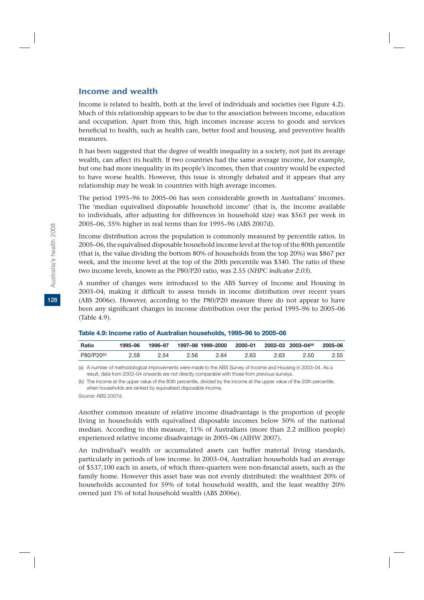#### Income and wealth

Income is related to health, both at the level of individuals and societies (see Figure 4.2). Much of this relationship appears to be due to the association between income, education and occupation. Apart from this, high incomes increase access to goods and services beneficial to health, such as health care, better food and housing, and preventive health measures.

It has been suggested that the degree of wealth inequality in a society, not just its average wealth, can affect its health. If two countries had the same average income, for example, but one had more inequality in its people's incomes, then that country would be expected to have worse health. However, this issue is strongly debated and it appears that any relationship may be weak in countries with high average incomes.

The period 1995–96 to 2005–06 has seen considerable growth in Australians' incomes. The 'median equivalised disposable household income' (that is, the income available to individuals, after adjusting for differences in household size) was \$563 per week in 2005–06, 35% higher in real terms than for 1995–96 (ABS 2007d).

Income distribution across the population is commonly measured by percentile ratios. In 2005–06, the equivalised disposable household income level at the top of the 80th percentile (that is, the value dividing the bottom 80% of households from the top 20%) was \$867 per week, and the income level at the top of the 20th percentile was \$340. The ratio of these two income levels, known as the P80/P20 ratio, was 2.55 (*NHPC indicator 2.03*).

A number of changes were introduced to the ABS Survey of Income and Housing in 2003–04, making it difficult to assess trends in income distribution over recent years (ABS 2006e). However, according to the P80/P20 measure there do not appear to have been any significant changes in income distribution over the period 1995–96 to 2005–06 (Table 4.9).

| Ratio                  | 1995–96 | 1996-97 | 1997–98 1999–2000 |      | 2000-01 |      | 2002–03 2003–04 <sup>(a)</sup> | 2005–06 |
|------------------------|---------|---------|-------------------|------|---------|------|--------------------------------|---------|
| P80/P20 <sup>(b)</sup> | 2.58    | 2.54    | 2.56              | 2.64 | 2.63    | 2.63 | 2.50                           | 2.55    |

(a) A number of methodological improvements were made to the ABS Survey of Income and Housing in 2003–04. As a result, data from 2003–04 onwards are not directly comparable with those from previous surveys.

(b) The income at the upper value of the 80th percentile, divided by the income at the upper value of the 20th percentile, when households are ranked by equivalised disposable income.

*Source:* ABS 2007d.

Another common measure of relative income disadvantage is the proportion of people living in households with equivalised disposable incomes below 50% of the national median. According to this measure, 11% of Australians (more than 2.2 million people) experienced relative income disadvantage in 2005–06 (AIHW 2007).

An individual's wealth or accumulated assets can buffer material living standards, particularly in periods of low income. In 2003–04, Australian households had an average of \$537,100 each in assets, of which three-quarters were non-financial assets, such as the family home. However this asset base was not evenly distributed: the wealthiest 20% of households accounted for 59% of total household wealth, and the least wealthy 20% owned just 1% of total household wealth (ABS 2006e).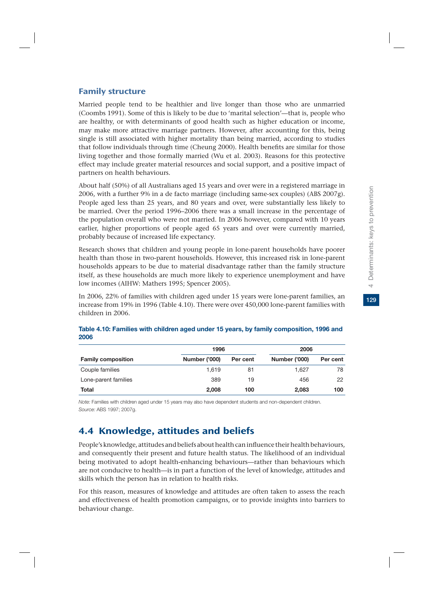# Family structure

Married people tend to be healthier and live longer than those who are unmarried (Coombs 1991). Some of this is likely to be due to 'marital selection'—that is, people who are healthy, or with determinants of good health such as higher education or income, may make more attractive marriage partners. However, after accounting for this, being single is still associated with higher mortality than being married, according to studies that follow individuals through time (Cheung 2000). Health benefits are similar for those living together and those formally married (Wu et al. 2003). Reasons for this protective effect may include greater material resources and social support, and a positive impact of partners on health behaviours.

About half (50%) of all Australians aged 15 years and over were in a registered marriage in 2006, with a further 9% in a de facto marriage (including same-sex couples) (ABS 2007g). People aged less than 25 years, and 80 years and over, were substantially less likely to be married. Over the period 1996–2006 there was a small increase in the percentage of the population overall who were not married. In 2006 however, compared with 10 years earlier, higher proportions of people aged 65 years and over were currently married, probably because of increased life expectancy.

Research shows that children and young people in lone-parent households have poorer health than those in two-parent households. However, this increased risk in lone-parent households appears to be due to material disadvantage rather than the family structure itself, as these households are much more likely to experience unemployment and have low incomes (AIHW: Mathers 1995; Spencer 2005).

In 2006, 22% of families with children aged under 15 years were lone-parent families, an increase from 19% in 1996 (Table 4.10). There were over 450,000 lone-parent families with children in 2006.

|                           | 1996                 |          | 2006                 |          |  |
|---------------------------|----------------------|----------|----------------------|----------|--|
| <b>Family composition</b> | <b>Number ('000)</b> | Per cent | <b>Number ('000)</b> | Per cent |  |
| Couple families           | 1.619                | 81       | 1.627                | 78       |  |
| Lone-parent families      | 389                  | 19       | 456                  | 22       |  |
| Total                     | 2.008                | 100      | 2,083                | 100      |  |

#### **Table 4.10: Families with children aged under 15 years, by family composition, 1996 and 2006**

*Note:* Families with children aged under 15 years may also have dependent students and non-dependent children. *Source:* ABS 1997; 2007g.

# 4.4 Knowledge, attitudes and beliefs

People's knowledge, attitudes and beliefs about health can influence their health behaviours, and consequently their present and future health status. The likelihood of an individual being motivated to adopt health-enhancing behaviours—rather than behaviours which are not conducive to health—is in part a function of the level of knowledge, attitudes and skills which the person has in relation to health risks.

For this reason, measures of knowledge and attitudes are often taken to assess the reach and effectiveness of health promotion campaigns, or to provide insights into barriers to behaviour change.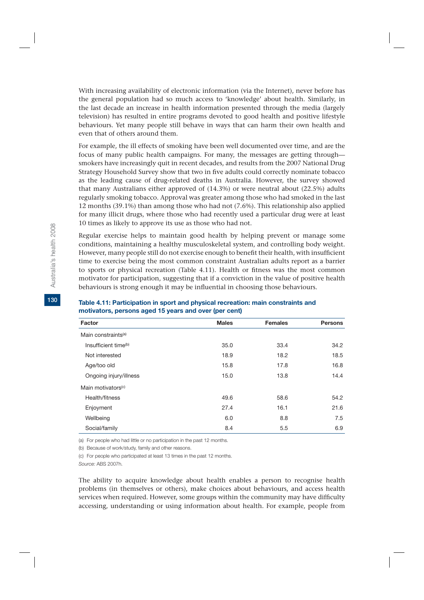With increasing availability of electronic information (via the Internet), never before has the general population had so much access to 'knowledge' about health. Similarly, in the last decade an increase in health information presented through the media (largely television) has resulted in entire programs devoted to good health and positive lifestyle behaviours. Yet many people still behave in ways that can harm their own health and even that of others around them.

For example, the ill effects of smoking have been well documented over time, and are the focus of many public health campaigns. For many, the messages are getting through smokers have increasingly quit in recent decades, and results from the 2007 National Drug Strategy Household Survey show that two in five adults could correctly nominate tobacco as the leading cause of drug-related deaths in Australia. However, the survey showed that many Australians either approved of (14.3%) or were neutral about (22.5%) adults regularly smoking tobacco. Approval was greater among those who had smoked in the last 12 months (39.1%) than among those who had not (7.6%). This relationship also applied for many illicit drugs, where those who had recently used a particular drug were at least 10 times as likely to approve its use as those who had not.

Regular exercise helps to maintain good health by helping prevent or manage some conditions, maintaining a healthy musculoskeletal system, and controlling body weight. However, many people still do not exercise enough to benefit their health, with insufficient time to exercise being the most common constraint Australian adults report as a barrier to sports or physical recreation (Table 4.11). Health or fitness was the most common motivator for participation, suggesting that if a conviction in the value of positive health behaviours is strong enough it may be influential in choosing those behaviours.

| Factor                           | <b>Males</b> | <b>Females</b> | <b>Persons</b> |
|----------------------------------|--------------|----------------|----------------|
| Main constraints <sup>(a)</sup>  |              |                |                |
| Insufficient time <sup>(b)</sup> | 35.0         | 33.4           | 34.2           |
| Not interested                   | 18.9         | 18.2           | 18.5           |
| Age/too old                      | 15.8         | 17.8           | 16.8           |
| Ongoing injury/illness           | 15.0         | 13.8           | 14.4           |
| Main motivators <sup>(c)</sup>   |              |                |                |
| Health/fitness                   | 49.6         | 58.6           | 54.2           |
| Enjoyment                        | 27.4         | 16.1           | 21.6           |
| Wellbeing                        | 6.0          | 8.8            | 7.5            |
| Social/family                    | 8.4          | 5.5            | 6.9            |

#### **Table 4.11: Participation in sport and physical recreation: main constraints and motivators, persons aged 15 years and over (per cent)**

(a) For people who had little or no participation in the past 12 months.

(b) Because of work/study, family and other reasons.

(c) For people who participated at least 13 times in the past 12 months.

*Source:* ABS 2007h.

The ability to acquire knowledge about health enables a person to recognise health problems (in themselves or others), make choices about behaviours, and access health services when required. However, some groups within the community may have difficulty accessing, understanding or using information about health. For example, people from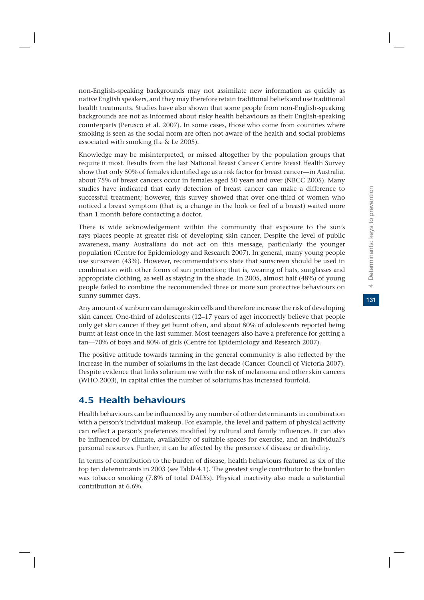Determinants: keys to prevention **131**4 Determinants: keys to prevention

non-English-speaking backgrounds may not assimilate new information as quickly as native English speakers, and they may therefore retain traditional beliefs and use traditional health treatments. Studies have also shown that some people from non-English-speaking backgrounds are not as informed about risky health behaviours as their English-speaking counterparts (Perusco et al. 2007). In some cases, those who come from countries where smoking is seen as the social norm are often not aware of the health and social problems associated with smoking (Le & Le 2005).

Knowledge may be misinterpreted, or missed altogether by the population groups that require it most. Results from the last National Breast Cancer Centre Breast Health Survey show that only 50% of females identified age as a risk factor for breast cancer—in Australia, about 75% of breast cancers occur in females aged 50 years and over (NBCC 2005). Many studies have indicated that early detection of breast cancer can make a difference to successful treatment; however, this survey showed that over one-third of women who noticed a breast symptom (that is, a change in the look or feel of a breast) waited more than 1 month before contacting a doctor.

There is wide acknowledgement within the community that exposure to the sun's rays places people at greater risk of developing skin cancer. Despite the level of public awareness, many Australians do not act on this message, particularly the younger population (Centre for Epidemiology and Research 2007). In general, many young people use sunscreen (43%). However, recommendations state that sunscreen should be used in combination with other forms of sun protection; that is, wearing of hats, sunglasses and appropriate clothing, as well as staying in the shade. In 2005, almost half (48%) of young people failed to combine the recommended three or more sun protective behaviours on sunny summer days.

Any amount of sunburn can damage skin cells and therefore increase the risk of developing skin cancer. One-third of adolescents (12–17 years of age) incorrectly believe that people only get skin cancer if they get burnt often, and about 80% of adolescents reported being burnt at least once in the last summer. Most teenagers also have a preference for getting a tan—70% of boys and 80% of girls (Centre for Epidemiology and Research 2007).

The positive attitude towards tanning in the general community is also reflected by the increase in the number of solariums in the last decade (Cancer Council of Victoria 2007). Despite evidence that links solarium use with the risk of melanoma and other skin cancers (WHO 2003), in capital cities the number of solariums has increased fourfold.

# 4.5 Health behaviours

Health behaviours can be influenced by any number of other determinants in combination with a person's individual makeup. For example, the level and pattern of physical activity can reflect a person's preferences modified by cultural and family influences. It can also be influenced by climate, availability of suitable spaces for exercise, and an individual's personal resources. Further, it can be affected by the presence of disease or disability.

In terms of contribution to the burden of disease, health behaviours featured as six of the top ten determinants in 2003 (see Table 4.1). The greatest single contributor to the burden was tobacco smoking (7.8% of total DALYs). Physical inactivity also made a substantial contribution at 6.6%.

 $\overline{\phantom{a}}$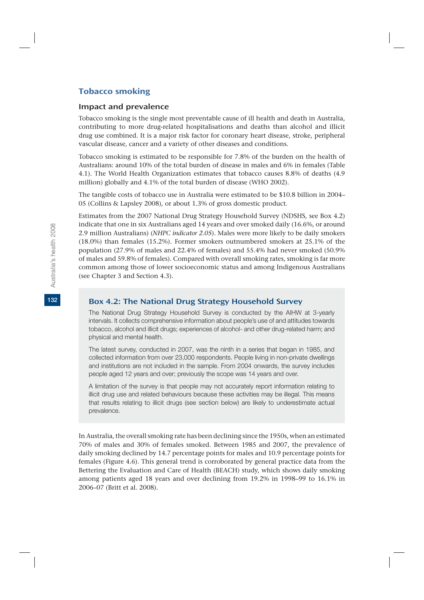# Tobacco smoking

#### Impact and prevalence

Tobacco smoking is the single most preventable cause of ill health and death in Australia, contributing to more drug-related hospitalisations and deaths than alcohol and illicit drug use combined. It is a major risk factor for coronary heart disease, stroke, peripheral vascular disease, cancer and a variety of other diseases and conditions.

Tobacco smoking is estimated to be responsible for 7.8% of the burden on the health of Australians: around 10% of the total burden of disease in males and 6% in females (Table 4.1). The World Health Organization estimates that tobacco causes 8.8% of deaths (4.9 million) globally and 4.1% of the total burden of disease (WHO 2002).

The tangible costs of tobacco use in Australia were estimated to be \$10.8 billion in 2004– 05 (Collins & Lapsley 2008), or about 1.3% of gross domestic product.

Estimates from the 2007 National Drug Strategy Household Survey (NDSHS, see Box 4.2) indicate that one in six Australians aged 14 years and over smoked daily (16.6%, or around 2.9 million Australians) (*NHPC indicator 2.05*). Males were more likely to be daily smokers (18.0%) than females (15.2%). Former smokers outnumbered smokers at 25.1% of the population (27.9% of males and 22.4% of females) and 55.4% had never smoked (50.9% of males and 59.8% of females). Compared with overall smoking rates, smoking is far more common among those of lower socioeconomic status and among Indigenous Australians (see Chapter 3 and Section 4.3).

#### Box 4.2: The National Drug Strategy Household Survey

The National Drug Strategy Household Survey is conducted by the AIHW at 3-yearly intervals. It collects comprehensive information about people's use of and attitudes towards tobacco, alcohol and illicit drugs; experiences of alcohol- and other drug-related harm; and physical and mental health.

The latest survey, conducted in 2007, was the ninth in a series that began in 1985, and collected information from over 23,000 respondents. People living in non-private dwellings and institutions are not included in the sample. From 2004 onwards, the survey includes people aged 12 years and over; previously the scope was 14 years and over.

A limitation of the survey is that people may not accurately report information relating to illicit drug use and related behaviours because these activities may be illegal. This means that results relating to illicit drugs (see section below) are likely to underestimate actual prevalence.

In Australia, the overall smoking rate has been declining since the 1950s, when an estimated 70% of males and 30% of females smoked. Between 1985 and 2007, the prevalence of daily smoking declined by 14.7 percentage points for males and 10.9 percentage points for females (Figure 4.6). This general trend is corroborated by general practice data from the Bettering the Evaluation and Care of Health (BEACH) study, which shows daily smoking among patients aged 18 years and over declining from 19.2% in 1998–99 to 16.1% in 2006–07 (Britt et al. 2008).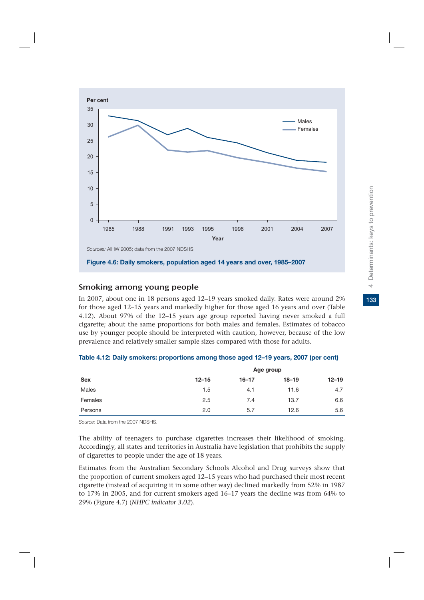

#### Smoking among young people

In 2007, about one in 18 persons aged 12–19 years smoked daily. Rates were around 2% for those aged 12–15 years and markedly higher for those aged 16 years and over (Table 4.12). About 97% of the 12–15 years age group reported having never smoked a full cigarette; about the same proportions for both males and females. Estimates of tobacco use by younger people should be interpreted with caution, however, because of the low prevalence and relatively smaller sample sizes compared with those for adults.

| <b>Sex</b> |           | Age group |           |           |  |  |  |  |
|------------|-----------|-----------|-----------|-----------|--|--|--|--|
|            | $12 - 15$ | $16 - 17$ | $18 - 19$ | $12 - 19$ |  |  |  |  |
| Males      | 1.5       | 4.1       | 11.6      | 4.7       |  |  |  |  |
| Females    | 2.5       | 7.4       | 13.7      | 6.6       |  |  |  |  |
| Persons    | 2.0       | 5.7       | 12.6      | 5.6       |  |  |  |  |

|  |  | Table 4.12: Daily smokers: proportions among those aged 12-19 years, 2007 (per cent) |  |  |  |  |
|--|--|--------------------------------------------------------------------------------------|--|--|--|--|
|--|--|--------------------------------------------------------------------------------------|--|--|--|--|

*Source:* Data from the 2007 NDSHS.

The ability of teenagers to purchase cigarettes increases their likelihood of smoking. Accordingly, all states and territories in Australia have legislation that prohibits the supply of cigarettes to people under the age of 18 years.

Estimates from the Australian Secondary Schools Alcohol and Drug surveys show that the proportion of current smokers aged 12–15 years who had purchased their most recent cigarette (instead of acquiring it in some other way) declined markedly from 52% in 1987 to 17% in 2005, and for current smokers aged 16–17 years the decline was from 64% to 29% (Figure 4.7) (*NHPC indicator 3.02*).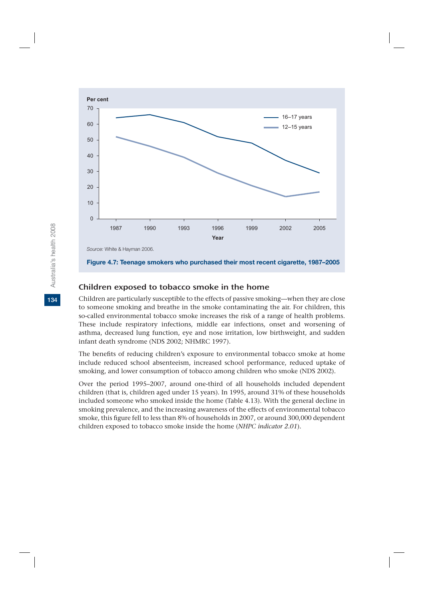

#### Children exposed to tobacco smoke in the home

Children are particularly susceptible to the effects of passive smoking—when they are close to someone smoking and breathe in the smoke contaminating the air. For children, this so-called environmental tobacco smoke increases the risk of a range of health problems. These include respiratory infections, middle ear infections, onset and worsening of asthma, decreased lung function, eye and nose irritation, low birthweight, and sudden infant death syndrome (NDS 2002; NHMRC 1997).

The benefits of reducing children's exposure to environmental tobacco smoke at home include reduced school absenteeism, increased school performance, reduced uptake of smoking, and lower consumption of tobacco among children who smoke (NDS 2002).

Over the period 1995–2007, around one-third of all households included dependent children (that is, children aged under 15 years). In 1995, around 31% of these households included someone who smoked inside the home (Table 4.13). With the general decline in smoking prevalence, and the increasing awareness of the effects of environmental tobacco smoke, this figure fell to less than 8% of households in 2007, or around 300,000 dependent children exposed to tobacco smoke inside the home (*NHPC indicator 2.01*).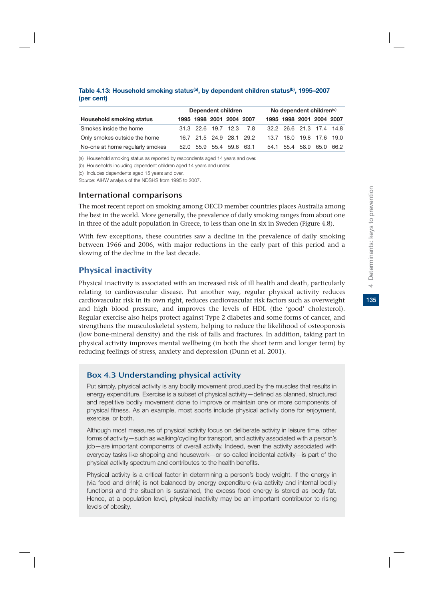|                                 | Dependent children |  |  |                          | No dependent children <sup>(c)</sup> |  |                          |  |
|---------------------------------|--------------------|--|--|--------------------------|--------------------------------------|--|--------------------------|--|
| <b>Household smoking status</b> |                    |  |  | 1995 1998 2001 2004 2007 |                                      |  | 1995 1998 2001 2004 2007 |  |
| Smokes inside the home          |                    |  |  | 31.3 22.6 19.7 12.3 7.8  |                                      |  | 32.2 26.6 21.3 17.4 14.8 |  |
| Only smokes outside the home    |                    |  |  | 16.7 21.5 24.9 28.1 29.2 |                                      |  | 13.7 18.0 19.8 17.6 19.0 |  |
| No-one at home regularly smokes |                    |  |  | 52.0 55.9 55.4 59.6 63.1 |                                      |  | 54.1 55.4 58.9 65.0 66.2 |  |

#### **Table 4.13: Household smoking status(a), by dependent children status(b), 1995–2007 (per cent)**

(a) Household smoking status as reported by respondents aged 14 years and over.

(b) Households including dependent children aged 14 years and under.

(c) Includes dependents aged 15 years and over.

*Source:* AIHW analysis of the NDSHS from 1995 to 2007.

#### International comparisons

The most recent report on smoking among OECD member countries places Australia among the best in the world. More generally, the prevalence of daily smoking ranges from about one in three of the adult population in Greece, to less than one in six in Sweden (Figure 4.8).

With few exceptions, these countries saw a decline in the prevalence of daily smoking between 1966 and 2006, with major reductions in the early part of this period and a slowing of the decline in the last decade.

# Physical inactivity

Physical inactivity is associated with an increased risk of ill health and death, particularly relating to cardiovascular disease. Put another way, regular physical activity reduces cardiovascular risk in its own right, reduces cardiovascular risk factors such as overweight and high blood pressure, and improves the levels of HDL (the 'good' cholesterol). Regular exercise also helps protect against Type 2 diabetes and some forms of cancer, and strengthens the musculoskeletal system, helping to reduce the likelihood of osteoporosis (low bone-mineral density) and the risk of falls and fractures. In addition, taking part in physical activity improves mental wellbeing (in both the short term and longer term) by reducing feelings of stress, anxiety and depression (Dunn et al. 2001).

# Box 4.3 Understanding physical activity

Put simply, physical activity is any bodily movement produced by the muscles that results in energy expenditure. Exercise is a subset of physical activity—defined as planned, structured and repetitive bodily movement done to improve or maintain one or more components of physical fitness. As an example, most sports include physical activity done for enjoyment, exercise, or both.

Although most measures of physical activity focus on deliberate activity in leisure time, other forms of activity—such as walking/cycling for transport, and activity associated with a person's job—are important components of overall activity. Indeed, even the activity associated with everyday tasks like shopping and housework—or so-called incidental activity—is part of the physical activity spectrum and contributes to the health benefits.

Physical activity is a critical factor in determining a person's body weight. If the energy in (via food and drink) is not balanced by energy expenditure (via activity and internal bodily functions) and the situation is sustained, the excess food energy is stored as body fat. Hence, at a population level, physical inactivity may be an important contributor to rising levels of obesity.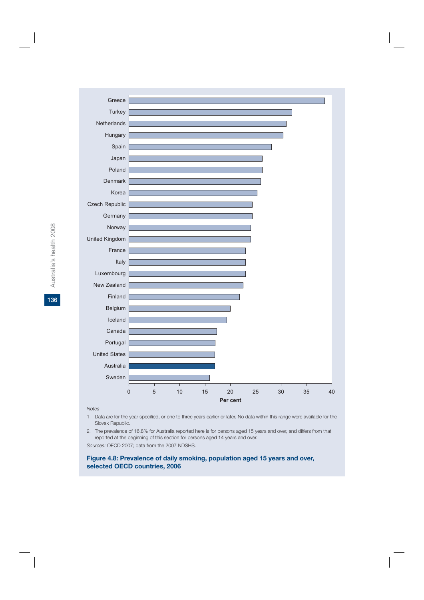

*Notes*

- 1. Data are for the year specified, or one to three years earlier or later. No data within this range were available for the Slovak Republic.
- 2. The prevalence of 16.8% for Australia reported here is for persons aged 15 years and over, and differs from that reported at the beginning of this section for persons aged 14 years and over.

*Sources:* OECD 2007; data from the 2007 NDSHS.

#### **Figure 4.8: Prevalence of daily smoking, population aged 15 years and over, selected OECD countries, 2006**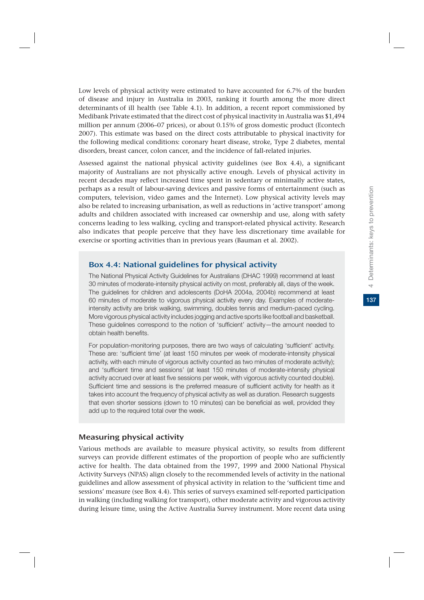Low levels of physical activity were estimated to have accounted for 6.7% of the burden of disease and injury in Australia in 2003, ranking it fourth among the more direct determinants of ill health (see Table 4.1). In addition, a recent report commissioned by Medibank Private estimated that the direct cost of physical inactivity in Australia was \$1,494 million per annum (2006–07 prices), or about 0.15% of gross domestic product (Econtech 2007). This estimate was based on the direct costs attributable to physical inactivity for the following medical conditions: coronary heart disease, stroke, Type 2 diabetes, mental disorders, breast cancer, colon cancer, and the incidence of fall-related injuries.

Assessed against the national physical activity guidelines (see Box 4.4), a significant majority of Australians are not physically active enough. Levels of physical activity in recent decades may reflect increased time spent in sedentary or minimally active states, perhaps as a result of labour-saving devices and passive forms of entertainment (such as computers, television, video games and the Internet). Low physical activity levels may also be related to increasing urbanisation, as well as reductions in 'active transport' among adults and children associated with increased car ownership and use, along with safety concerns leading to less walking, cycling and transport-related physical activity. Research also indicates that people perceive that they have less discretionary time available for exercise or sporting activities than in previous years (Bauman et al. 2002).

#### Box 4.4: National guidelines for physical activity

The National Physical Activity Guidelines for Australians (DHAC 1999) recommend at least 30 minutes of moderate-intensity physical activity on most, preferably all, days of the week. The guidelines for children and adolescents (DoHA 2004a, 2004b) recommend at least 60 minutes of moderate to vigorous physical activity every day. Examples of moderateintensity activity are brisk walking, swimming, doubles tennis and medium-paced cycling. More vigorous physical activity includes jogging and active sports like football and basketball. These guidelines correspond to the notion of 'sufficient' activity—the amount needed to obtain health benefits.

For population-monitoring purposes, there are two ways of calculating 'sufficient' activity. These are: 'sufficient time' (at least 150 minutes per week of moderate-intensity physical activity, with each minute of vigorous activity counted as two minutes of moderate activity); and 'sufficient time and sessions' (at least 150 minutes of moderate-intensity physical activity accrued over at least five sessions per week, with vigorous activity counted double). Sufficient time and sessions is the preferred measure of sufficient activity for health as it takes into account the frequency of physical activity as well as duration. Research suggests that even shorter sessions (down to 10 minutes) can be beneficial as well, provided they add up to the required total over the week.

# Measuring physical activity

Various methods are available to measure physical activity, so results from different surveys can provide different estimates of the proportion of people who are sufficiently active for health. The data obtained from the 1997, 1999 and 2000 National Physical Activity Surveys (NPAS) align closely to the recommended levels of activity in the national guidelines and allow assessment of physical activity in relation to the 'sufficient time and sessions' measure (see Box 4.4). This series of surveys examined self-reported participation in walking (including walking for transport), other moderate activity and vigorous activity during leisure time, using the Active Australia Survey instrument. More recent data using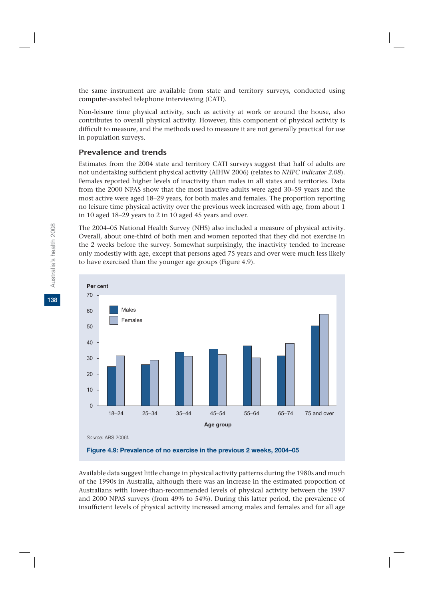the same instrument are available from state and territory surveys, conducted using computer-assisted telephone interviewing (CATI).

Non-leisure time physical activity, such as activity at work or around the house, also contributes to overall physical activity. However, this component of physical activity is difficult to measure, and the methods used to measure it are not generally practical for use in population surveys.

### Prevalence and trends

Estimates from the 2004 state and territory CATI surveys suggest that half of adults are not undertaking sufficient physical activity (AIHW 2006) (relates to *NHPC indicator 2.08*). Females reported higher levels of inactivity than males in all states and territories. Data from the 2000 NPAS show that the most inactive adults were aged 30–59 years and the most active were aged 18–29 years, for both males and females. The proportion reporting no leisure time physical activity over the previous week increased with age, from about 1 in 10 aged 18–29 years to 2 in 10 aged 45 years and over.

The 2004–05 National Health Survey (NHS) also included a measure of physical activity. Overall, about one-third of both men and women reported that they did not exercise in the 2 weeks before the survey. Somewhat surprisingly, the inactivity tended to increase only modestly with age, except that persons aged 75 years and over were much less likely to have exercised than the younger age groups (Figure 4.9).



**Figure 4.9: Prevalence of no exercise in the previous 2 weeks, 2004–05**

Available data suggest little change in physical activity patterns during the 1980s and much of the 1990s in Australia, although there was an increase in the estimated proportion of Australians with lower-than-recommended levels of physical activity between the 1997 and 2000 NPAS surveys (from 49% to 54%). During this latter period, the prevalence of insufficient levels of physical activity increased among males and females and for all age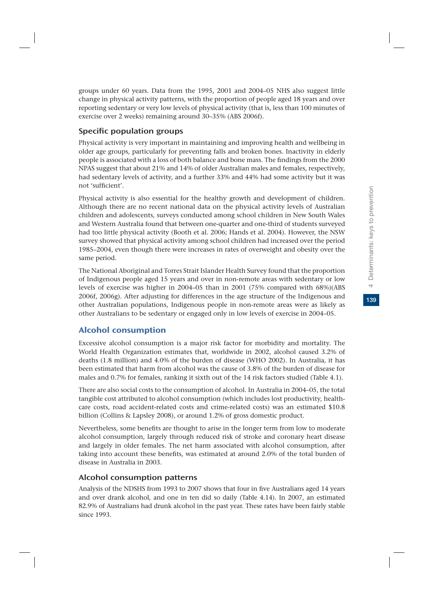groups under 60 years. Data from the 1995, 2001 and 2004–05 NHS also suggest little change in physical activity patterns, with the proportion of people aged 18 years and over reporting sedentary or very low levels of physical activity (that is, less than 100 minutes of exercise over 2 weeks) remaining around 30–35% (ABS 2006f).

# Specific population groups

Physical activity is very important in maintaining and improving health and wellbeing in older age groups, particularly for preventing falls and broken bones. Inactivity in elderly people is associated with a loss of both balance and bone mass. The findings from the 2000 NPAS suggest that about 21% and 14% of older Australian males and females, respectively, had sedentary levels of activity, and a further 33% and 44% had some activity but it was not 'sufficient'.

Physical activity is also essential for the healthy growth and development of children. Although there are no recent national data on the physical activity levels of Australian children and adolescents, surveys conducted among school children in New South Wales and Western Australia found that between one-quarter and one-third of students surveyed had too little physical activity (Booth et al. 2006; Hands et al. 2004). However, the NSW survey showed that physical activity among school children had increased over the period 1985–2004, even though there were increases in rates of overweight and obesity over the same period.

The National Aboriginal and Torres Strait Islander Health Survey found that the proportion of Indigenous people aged 15 years and over in non-remote areas with sedentary or low levels of exercise was higher in 2004–05 than in 2001 (75% compared with 68%)(ABS 2006f, 2006g). After adjusting for differences in the age structure of the Indigenous and other Australian populations, Indigenous people in non-remote areas were as likely as other Australians to be sedentary or engaged only in low levels of exercise in 2004–05.

# Alcohol consumption

Excessive alcohol consumption is a major risk factor for morbidity and mortality. The World Health Organization estimates that, worldwide in 2002, alcohol caused 3.2% of deaths (1.8 million) and 4.0% of the burden of disease (WHO 2002). In Australia, it has been estimated that harm from alcohol was the cause of 3.8% of the burden of disease for males and 0.7% for females, ranking it sixth out of the 14 risk factors studied (Table 4.1).

There are also social costs to the consumption of alcohol. In Australia in 2004–05, the total tangible cost attributed to alcohol consumption (which includes lost productivity, healthcare costs, road accident-related costs and crime-related costs) was an estimated \$10.8 billion (Collins & Lapsley 2008), or around 1.2% of gross domestic product.

Nevertheless, some benefits are thought to arise in the longer term from low to moderate alcohol consumption, largely through reduced risk of stroke and coronary heart disease and largely in older females. The net harm associated with alcohol consumption, after taking into account these benefits, was estimated at around 2.0% of the total burden of disease in Australia in 2003.

# Alcohol consumption patterns

Analysis of the NDSHS from 1993 to 2007 shows that four in five Australians aged 14 years and over drank alcohol, and one in ten did so daily (Table 4.14). In 2007, an estimated 82.9% of Australians had drunk alcohol in the past year. These rates have been fairly stable since 1993.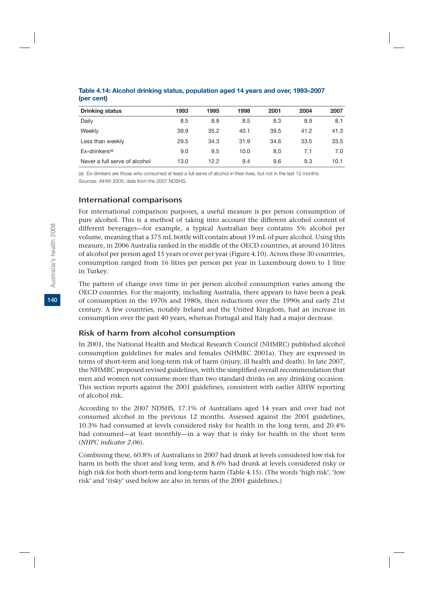| <b>Drinking status</b>        | 1993 | 1995 | 1998 | 2001 | 2004 | 2007 |
|-------------------------------|------|------|------|------|------|------|
| Daily                         | 8.5  | 8.8  | 8.5  | 8.3  | 8.9  | 8.1  |
| Weekly                        | 39.9 | 35.2 | 40.1 | 39.5 | 41.2 | 41.3 |
| Less than weekly              | 29.5 | 34.3 | 31.9 | 34.6 | 33.5 | 33.5 |
| $Ex$ -drinkers <sup>(a)</sup> | 9.0  | 9.5  | 10.0 | 8.0  | 7.1  | 7.0  |
| Never a full serve of alcohol | 13.0 | 12.2 | 9.4  | 9.6  | 9.3  | 10.1 |

#### **Table 4.14: Alcohol drinking status, population aged 14 years and over, 1993–2007 (per cent)**

(a) Ex-drinkers are those who consumed at least a full serve of alcohol in their lives, but not in the last 12 months. *Sources:* AIHW 2005; data from the 2007 NDSHS.

#### International comparisons

For international comparison purposes, a useful measure is per person consumption of pure alcohol. This is a method of taking into account the different alcohol content of different beverages—for example, a typical Australian beer contains 5% alcohol per volume, meaning that a 375 mL bottle will contain about 19 mL of pure alcohol. Using this measure, in 2006 Australia ranked in the middle of the OECD countries, at around 10 litres of alcohol per person aged 15 years or over per year (Figure 4.10). Across these 30 countries, consumption ranged from 16 litres per person per year in Luxembourg down to 1 litre in Turkey.

The pattern of change over time in per person alcohol consumption varies among the OECD countries. For the majority, including Australia, there appears to have been a peak of consumption in the 1970s and 1980s, then reductions over the 1990s and early 21st century. A few countries, notably Ireland and the United Kingdom, had an increase in consumption over the past 40 years, whereas Portugal and Italy had a major decrease.

# Risk of harm from alcohol consumption

In 2001, the National Health and Medical Research Council (NHMRC) published alcohol consumption guidelines for males and females (NHMRC 2001a). They are expressed in terms of short-term and long-term risk of harm (injury, ill health and death). In late 2007, the NHMRC proposed revised guidelines, with the simplified overall recommendation that men and women not consume more than two standard drinks on any drinking occasion. This section reports against the 2001 guidelines, consistent with earlier AIHW reporting of alcohol risk.

According to the 2007 NDSHS, 17.1% of Australians aged 14 years and over had not consumed alcohol in the previous 12 months. Assessed against the 2001 guidelines, 10.3% had consumed at levels considered risky for health in the long term, and 20.4% had consumed—at least monthly—in a way that is risky for health in the short term (*NHPC indicator 2.06*).

Combining these, 60.8% of Australians in 2007 had drunk at levels considered low risk for harm in both the short and long term, and 8.6% had drunk at levels considered risky or high risk for both short-term and long-term harm (Table 4.15). (The words 'high risk', 'low risk' and 'risky' used below are also in terms of the 2001 guidelines.)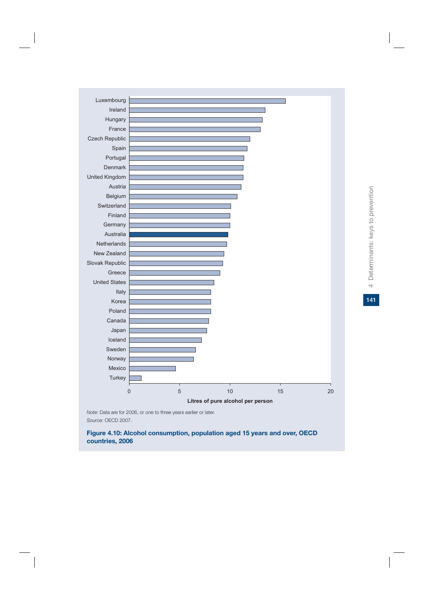

*Note:* Data are for 2006, or one to three years earlier or later. *Source:* OECD 2007.

**Figure 4.10: Alcohol consumption, population aged 15 years and over, OECD countries, 2006**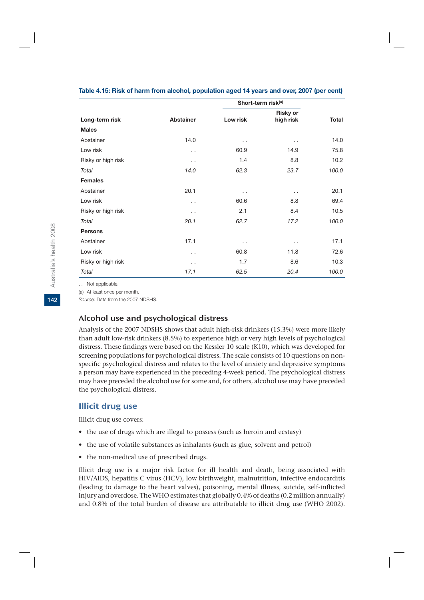|                    |                      | Short-term risk <sup>(a)</sup> |                              |              |
|--------------------|----------------------|--------------------------------|------------------------------|--------------|
| Long-term risk     | <b>Abstainer</b>     | Low risk                       | <b>Risky or</b><br>high risk | <b>Total</b> |
| <b>Males</b>       |                      |                                |                              |              |
| Abstainer          | 14.0                 | . .                            | $\ddotsc$                    | 14.0         |
| Low risk           | . .                  | 60.9                           | 14.9                         | 75.8         |
| Risky or high risk | . .                  | 1.4                            | 8.8                          | 10.2         |
| Total              | 14.0                 | 62.3                           | 23.7                         | 100.0        |
| <b>Females</b>     |                      |                                |                              |              |
| Abstainer          | 20.1                 | . .                            | . .                          | 20.1         |
| Low risk           | . .                  | 60.6                           | 8.8                          | 69.4         |
| Risky or high risk | $\ddot{\phantom{0}}$ | 2.1                            | 8.4                          | 10.5         |
| Total              | 20.1                 | 62.7                           | 17.2                         | 100.0        |
| <b>Persons</b>     |                      |                                |                              |              |
| Abstainer          | 17.1                 | . .                            | $\ddotsc$                    | 17.1         |
| Low risk           | . .                  | 60.8                           | 11.8                         | 72.6         |
| Risky or high risk | . .                  | 1.7                            | 8.6                          | 10.3         |
| Total              | 17.1                 | 62.5                           | 20.4                         | 100.0        |

#### **Table 4.15: Risk of harm from alcohol, population aged 14 years and over, 2007 (per cent)**

. . Not applicable.

(a) At least once per month.

*Source:* Data from the 2007 NDSHS.

#### Alcohol use and psychological distress

Analysis of the 2007 NDSHS shows that adult high-risk drinkers (15.3%) were more likely than adult low-risk drinkers (8.5%) to experience high or very high levels of psychological distress. These findings were based on the Kessler 10 scale (K10), which was developed for screening populations for psychological distress. The scale consists of 10 questions on nonspecific psychological distress and relates to the level of anxiety and depressive symptoms a person may have experienced in the preceding 4-week period. The psychological distress may have preceded the alcohol use for some and, for others, alcohol use may have preceded the psychological distress.

# Illicit drug use

Illicit drug use covers:

- the use of drugs which are illegal to possess (such as heroin and ecstasy)
- the use of volatile substances as inhalants (such as glue, solvent and petrol)
- the non-medical use of prescribed drugs.

Illicit drug use is a major risk factor for ill health and death, being associated with HIV/AIDS, hepatitis C virus (HCV), low birthweight, malnutrition, infective endocarditis (leading to damage to the heart valves), poisoning, mental illness, suicide, self-inflicted injury and overdose. The WHO estimates that globally 0.4% of deaths (0.2 million annually) and 0.8% of the total burden of disease are attributable to illicit drug use (WHO 2002).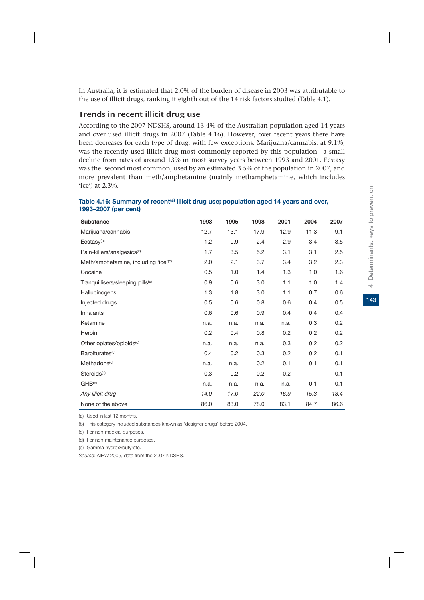In Australia, it is estimated that 2.0% of the burden of disease in 2003 was attributable to the use of illicit drugs, ranking it eighth out of the 14 risk factors studied (Table 4.1).

### Trends in recent illicit drug use

According to the 2007 NDSHS, around 13.4% of the Australian population aged 14 years and over used illicit drugs in 2007 (Table 4.16). However, over recent years there have been decreases for each type of drug, with few exceptions. Marijuana/cannabis, at 9.1%, was the recently used illicit drug most commonly reported by this population—a small decline from rates of around 13% in most survey years between 1993 and 2001. Ecstasy was the second most common, used by an estimated 3.5% of the population in 2007, and more prevalent than meth/amphetamine (mainly methamphetamine, which includes 'ice') at 2.3%.

| <b>Substance</b>                                 | 1993 | 1995 | 1998 | 2001 | 2004 | 2007 |
|--------------------------------------------------|------|------|------|------|------|------|
| Marijuana/cannabis                               | 12.7 | 13.1 | 17.9 | 12.9 | 11.3 | 9.1  |
| Ecstasy <sup>(b)</sup>                           | 1.2  | 0.9  | 2.4  | 2.9  | 3.4  | 3.5  |
| Pain-killers/analgesics <sup>(c)</sup>           | 1.7  | 3.5  | 5.2  | 3.1  | 3.1  | 2.5  |
| Meth/amphetamine, including 'ice' <sup>(c)</sup> | 2.0  | 2.1  | 3.7  | 3.4  | 3.2  | 2.3  |
| Cocaine                                          | 0.5  | 1.0  | 1.4  | 1.3  | 1.0  | 1.6  |
| Tranquillisers/sleeping pills <sup>(c)</sup>     | 0.9  | 0.6  | 3.0  | 1.1  | 1.0  | 1.4  |
| Hallucinogens                                    | 1.3  | 1.8  | 3.0  | 1.1  | 0.7  | 0.6  |
| Injected drugs                                   | 0.5  | 0.6  | 0.8  | 0.6  | 0.4  | 0.5  |
| <b>Inhalants</b>                                 | 0.6  | 0.6  | 0.9  | 0.4  | 0.4  | 0.4  |
| Ketamine                                         | n.a. | n.a. | n.a. | n.a. | 0.3  | 0.2  |
| Heroin                                           | 0.2  | 0.4  | 0.8  | 0.2  | 0.2  | 0.2  |
| Other opiates/opioids <sup>(c)</sup>             | n.a. | n.a. | n.a. | 0.3  | 0.2  | 0.2  |
| Barbiturates <sup>(c)</sup>                      | 0.4  | 0.2  | 0.3  | 0.2  | 0.2  | 0.1  |
| Methadone <sup>(d)</sup>                         | n.a. | n.a. | 0.2  | 0.1  | 0.1  | 0.1  |
| Steroids <sup>(c)</sup>                          | 0.3  | 0.2  | 0.2  | 0.2  |      | 0.1  |
| GHB <sup>(e)</sup>                               | n.a. | n.a. | n.a. | n.a. | 0.1  | 0.1  |
| Any illicit drug                                 | 14.0 | 17.0 | 22.0 | 16.9 | 15.3 | 13.4 |
| None of the above                                | 86.0 | 83.0 | 78.0 | 83.1 | 84.7 | 86.6 |

#### Table 4.16: Summary of recent<sup>(a)</sup> illicit drug use; population aged 14 years and over, **1993–2007 (per cent)**

(a) Used in last 12 months.

(b) This category included substances known as 'designer drugs' before 2004.

(c) For non-medical purposes.

(d) For non-maintenance purposes.

(e) Gamma-hydroxybutyrate.

*Source:* AIHW 2005, data from the 2007 NDSHS.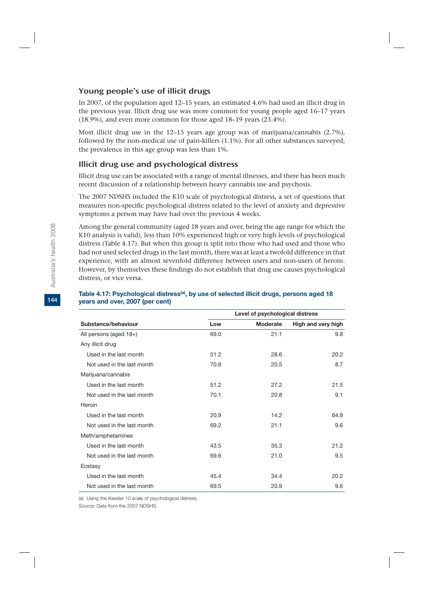# Young people's use of illicit drugs

In 2007, of the population aged 12–15 years, an estimated 4.6% had used an illicit drug in the previous year. Illicit drug use was more common for young people aged 16–17 years (18.9%), and even more common for those aged 18–19 years (23.4%).

Most illicit drug use in the  $12-15$  years age group was of marijuana/cannabis  $(2.7\%)$ , followed by the non-medical use of pain-killers (1.1%). For all other substances surveyed, the prevalence in this age group was less than 1%.

# Illicit drug use and psychological distress

Illicit drug use can be associated with a range of mental illnesses, and there has been much recent discussion of a relationship between heavy cannabis use and psychosis.

The 2007 NDSHS included the K10 scale of psychological distress, a set of questions that measures non-specific psychological distress related to the level of anxiety and depressive symptoms a person may have had over the previous 4 weeks.

Among the general community (aged 18 years and over, being the age range for which the K10 analysis is valid), less than 10% experienced high or very high levels of psychological distress (Table 4.17). But when this group is split into those who had used and those who had not used selected drugs in the last month, there was at least a twofold difference in that experience, with an almost sevenfold difference between users and non-users of heroin. However, by themselves these findings do not establish that drug use causes psychological distress, or vice versa.

|                            | Level of psychological distress |          |                    |
|----------------------------|---------------------------------|----------|--------------------|
| Substance/behaviour        | Low                             | Moderate | High and very high |
| All persons (aged 18+)     | 69.0                            | 21.1     | 9.8                |
| Any illicit drug           |                                 |          |                    |
| Used in the last month     | 51.2                            | 28.6     | 20.2               |
| Not used in the last month | 70.8                            | 20.5     | 8.7                |
| Marijuana/cannabis         |                                 |          |                    |
| Used in the last month     | 51.2                            | 27.2     | 21.5               |
| Not used in the last month | 70.1                            | 20.8     | 9.1                |
| Heroin                     |                                 |          |                    |
| Used in the last month     | 20.9                            | 14.2     | 64.9               |
| Not used in the last month | 69.2                            | 21.1     | 9.6                |
| Meth/amphetamines          |                                 |          |                    |
| Used in the last month     | 43.5                            | 35.3     | 21.2               |
| Not used in the last month | 69.6                            | 21.0     | 9.5                |
| Ecstasy                    |                                 |          |                    |
| Used in the last month     | 45.4                            | 34.4     | 20.2               |
| Not used in the last month | 69.5                            | 20.9     | 9.6                |

#### Table 4.17: Psychological distress<sup>(a)</sup>, by use of selected illicit drugs, persons aged 18 **years and over, 2007 (per cent)**

(a) Using the Kessler 10 scale of psychological distress.

*Source:* Data from the 2007 NDSHS.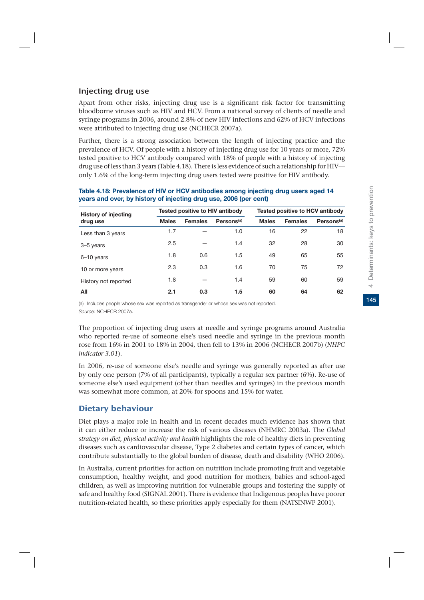# Injecting drug use

Apart from other risks, injecting drug use is a significant risk factor for transmitting bloodborne viruses such as HIV and HCV. From a national survey of clients of needle and syringe programs in 2006, around 2.8% of new HIV infections and 62% of HCV infections were attributed to injecting drug use (NCHECR 2007a).

Further, there is a strong association between the length of injecting practice and the prevalence of HCV. Of people with a history of injecting drug use for 10 years or more, 72% tested positive to HCV antibody compared with 18% of people with a history of injecting drug use of less than 3 years (Table 4.18). There is less evidence of such a relationship for HIV only 1.6% of the long-term injecting drug users tested were positive for HIV antibody.

| <b>History of injecting</b> | Tested positive to HIV antibody |                |                        | <b>Tested positive to HCV antibody</b> |                |                        |  |
|-----------------------------|---------------------------------|----------------|------------------------|----------------------------------------|----------------|------------------------|--|
| drug use                    | <b>Males</b>                    | <b>Females</b> | Persons <sup>(a)</sup> | <b>Males</b>                           | <b>Females</b> | Persons <sup>(a)</sup> |  |
| Less than 3 years           | 1.7                             |                | 1.0                    | 16                                     | 22             | 18                     |  |
| 3-5 years                   | 2.5                             |                | 1.4                    | 32                                     | 28             | 30                     |  |
| 6-10 years                  | 1.8                             | 0.6            | 1.5                    | 49                                     | 65             | 55                     |  |
| 10 or more years            | 2.3                             | 0.3            | 1.6                    | 70                                     | 75             | 72                     |  |
| History not reported        | 1.8                             |                | 1.4                    | 59                                     | 60             | 59                     |  |
| All                         | 2.1                             | 0.3            | 1.5                    | 60                                     | 64             | 62                     |  |

#### **Table 4.18: Prevalence of HIV or HCV antibodies among injecting drug users aged 14 years and over, by history of injecting drug use, 2006 (per cent)**

(a) Includes people whose sex was reported as transgender or whose sex was not reported. *Source:* NCHECR 2007a.

The proportion of injecting drug users at needle and syringe programs around Australia who reported re-use of someone else's used needle and syringe in the previous month rose from 16% in 2001 to 18% in 2004, then fell to 13% in 2006 (NCHECR 2007b) (*NHPC indicator 3.01*).

In 2006, re-use of someone else's needle and syringe was generally reported as after use by only one person (7% of all participants), typically a regular sex partner (6%). Re-use of someone else's used equipment (other than needles and syringes) in the previous month was somewhat more common, at 20% for spoons and 15% for water.

# Dietary behaviour

Diet plays a major role in health and in recent decades much evidence has shown that it can either reduce or increase the risk of various diseases (NHMRC 2003a). The *Global strategy on diet, physical activity and health* highlights the role of healthy diets in preventing diseases such as cardiovascular disease, Type 2 diabetes and certain types of cancer, which contribute substantially to the global burden of disease, death and disability (WHO 2006).

In Australia, current priorities for action on nutrition include promoting fruit and vegetable consumption, healthy weight, and good nutrition for mothers, babies and school-aged children, as well as improving nutrition for vulnerable groups and fostering the supply of safe and healthy food (SIGNAL 2001). There is evidence that Indigenous peoples have poorer nutrition-related health, so these priorities apply especially for them (NATSINWP 2001).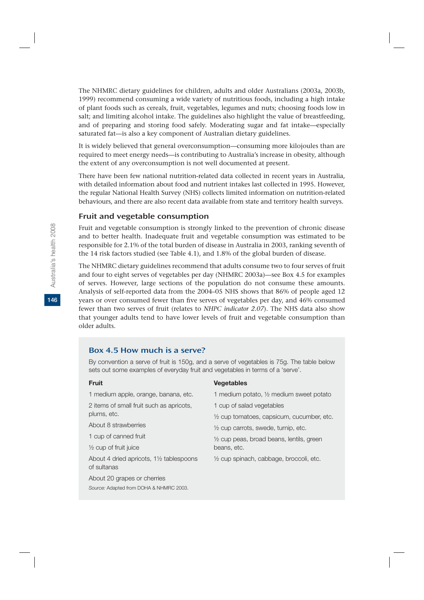The NHMRC dietary guidelines for children, adults and older Australians (2003a, 2003b, 1999) recommend consuming a wide variety of nutritious foods, including a high intake of plant foods such as cereals, fruit, vegetables, legumes and nuts; choosing foods low in salt; and limiting alcohol intake. The guidelines also highlight the value of breastfeeding, and of preparing and storing food safely. Moderating sugar and fat intake—especially saturated fat—is also a key component of Australian dietary guidelines.

It is widely believed that general overconsumption—consuming more kilojoules than are required to meet energy needs—is contributing to Australia's increase in obesity, although the extent of any overconsumption is not well documented at present.

There have been few national nutrition-related data collected in recent years in Australia, with detailed information about food and nutrient intakes last collected in 1995. However, the regular National Health Survey (NHS) collects limited information on nutrition-related behaviours, and there are also recent data available from state and territory health surveys.

#### Fruit and vegetable consumption

Fruit and vegetable consumption is strongly linked to the prevention of chronic disease and to better health. Inadequate fruit and vegetable consumption was estimated to be responsible for 2.1% of the total burden of disease in Australia in 2003, ranking seventh of the 14 risk factors studied (see Table 4.1), and 1.8% of the global burden of disease.

The NHMRC dietary guidelines recommend that adults consume two to four serves of fruit and four to eight serves of vegetables per day (NHMRC 2003a)—see Box 4.5 for examples of serves. However, large sections of the population do not consume these amounts. Analysis of self-reported data from the 2004–05 NHS shows that 86% of people aged 12 years or over consumed fewer than five serves of vegetables per day, and 46% consumed fewer than two serves of fruit (relates to *NHPC indicator 2.07*). The NHS data also show that younger adults tend to have lower levels of fruit and vegetable consumption than older adults.

#### Box 4.5 How much is a serve?

By convention a serve of fruit is 150g, and a serve of vegetables is 75g. The table below sets out some examples of everyday fruit and vegetables in terms of a 'serve'.

| <b>Fruit</b>                                                                    | <b>Vegetables</b>                                    |  |  |  |
|---------------------------------------------------------------------------------|------------------------------------------------------|--|--|--|
| 1 medium apple, orange, banana, etc.                                            | 1 medium potato, 1/2 medium sweet potato             |  |  |  |
| 2 items of small fruit such as apricots,<br>plums, etc.<br>About 8 strawberries | 1 cup of salad vegetables                            |  |  |  |
|                                                                                 | $\frac{1}{2}$ cup tomatoes, capsicum, cucumber, etc. |  |  |  |
|                                                                                 | $\frac{1}{2}$ cup carrots, swede, turnip, etc.       |  |  |  |
| 1 cup of canned fruit                                                           | 1/2 cup peas, broad beans, lentils, green            |  |  |  |
| $\frac{1}{2}$ cup of fruit juice                                                | beans, etc.                                          |  |  |  |
| About 4 dried apricots, $1\frac{1}{2}$ tablespoons<br>of sultanas               | 1/2 cup spinach, cabbage, broccoli, etc.             |  |  |  |
| About 20 grapes or cherries                                                     |                                                      |  |  |  |

*Source:* Adapted from DOHA & NHMRC 2003.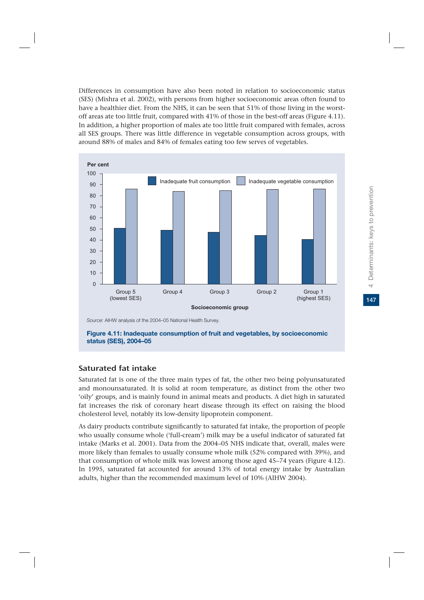Differences in consumption have also been noted in relation to socioeconomic status (SES) (Mishra et al. 2002), with persons from higher socioeconomic areas often found to have a healthier diet. From the NHS, it can be seen that 51% of those living in the worstoff areas ate too little fruit, compared with 41% of those in the best-off areas (Figure 4.11). In addition, a higher proportion of males ate too little fruit compared with females, across all SES groups. There was little difference in vegetable consumption across groups, with around 88% of males and 84% of females eating too few serves of vegetables.



**Figure 4.11: Inadequate consumption of fruit and vegetables, by socioeconomic status (SES), 2004–05**

# Saturated fat intake

Saturated fat is one of the three main types of fat, the other two being polyunsaturated and monounsaturated. It is solid at room temperature, as distinct from the other two 'oily' groups, and is mainly found in animal meats and products. A diet high in saturated fat increases the risk of coronary heart disease through its effect on raising the blood cholesterol level, notably its low-density lipoprotein component.

As dairy products contribute significantly to saturated fat intake, the proportion of people who usually consume whole ('full-cream') milk may be a useful indicator of saturated fat intake (Marks et al. 2001). Data from the 2004–05 NHS indicate that, overall, males were more likely than females to usually consume whole milk (52% compared with 39%), and that consumption of whole milk was lowest among those aged 45–74 years (Figure 4.12). In 1995, saturated fat accounted for around 13% of total energy intake by Australian adults, higher than the recommended maximum level of 10% (AIHW 2004).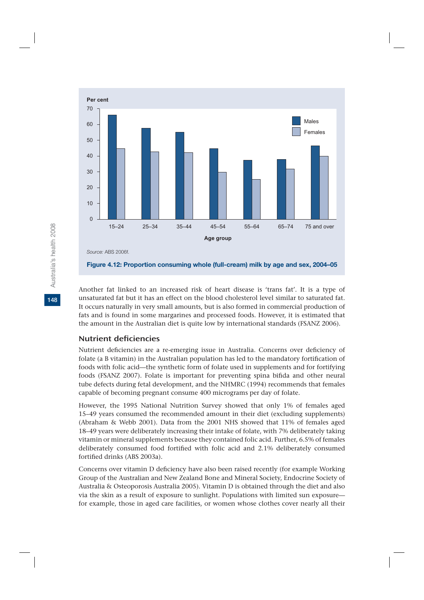

Another fat linked to an increased risk of heart disease is 'trans fat'. It is a type of unsaturated fat but it has an effect on the blood cholesterol level similar to saturated fat. It occurs naturally in very small amounts, but is also formed in commercial production of fats and is found in some margarines and processed foods. However, it is estimated that the amount in the Australian diet is quite low by international standards (FSANZ 2006).

# Nutrient deficiencies

Nutrient deficiencies are a re-emerging issue in Australia. Concerns over deficiency of folate (a B vitamin) in the Australian population has led to the mandatory fortification of foods with folic acid—the synthetic form of folate used in supplements and for fortifying foods (FSANZ 2007). Folate is important for preventing spina bifida and other neural tube defects during fetal development, and the NHMRC (1994) recommends that females capable of becoming pregnant consume 400 micrograms per day of folate.

However, the 1995 National Nutrition Survey showed that only 1% of females aged 15–49 years consumed the recommended amount in their diet (excluding supplements) (Abraham & Webb 2001). Data from the 2001 NHS showed that 11% of females aged 18–49 years were deliberately increasing their intake of folate, with 7% deliberately taking vitamin or mineral supplements because they contained folic acid. Further, 6.5% of females deliberately consumed food fortified with folic acid and 2.1% deliberately consumed fortified drinks (ABS 2003a).

Concerns over vitamin D deficiency have also been raised recently (for example Working Group of the Australian and New Zealand Bone and Mineral Society, Endocrine Society of Australia & Osteoporosis Australia 2005). Vitamin D is obtained through the diet and also via the skin as a result of exposure to sunlight. Populations with limited sun exposure for example, those in aged care facilities, or women whose clothes cover nearly all their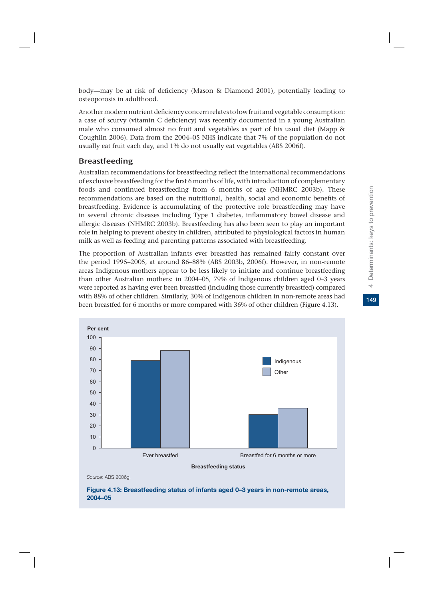Another modern nutrient deficiency concern relates to low fruit and vegetable consumption: a case of scurvy (vitamin C deficiency) was recently documented in a young Australian male who consumed almost no fruit and vegetables as part of his usual diet (Mapp & Coughlin 2006). Data from the 2004–05 NHS indicate that 7% of the population do not usually eat fruit each day, and 1% do not usually eat vegetables (ABS 2006f).

### Breastfeeding

Australian recommendations for breastfeeding reflect the international recommendations of exclusive breastfeeding for the first 6 months of life, with introduction of complementary foods and continued breastfeeding from 6 months of age (NHMRC 2003b). These recommendations are based on the nutritional, health, social and economic benefits of breastfeeding. Evidence is accumulating of the protective role breastfeeding may have in several chronic diseases including Type 1 diabetes, inflammatory bowel disease and allergic diseases (NHMRC 2003b). Breastfeeding has also been seen to play an important role in helping to prevent obesity in children, attributed to physiological factors in human milk as well as feeding and parenting patterns associated with breastfeeding.

The proportion of Australian infants ever breastfed has remained fairly constant over the period 1995–2005, at around 86–88% (ABS 2003b, 2006f). However, in non-remote areas Indigenous mothers appear to be less likely to initiate and continue breastfeeding than other Australian mothers: in 2004–05, 79% of Indigenous children aged 0–3 years were reported as having ever been breastfed (including those currently breastfed) compared with 88% of other children. Similarly, 30% of Indigenous children in non-remote areas had been breastfed for 6 months or more compared with 36% of other children (Figure 4.13).



*Source:* ABS 2006g.

#### **Figure 4.13: Breastfeeding status of infants aged 0–3 years in non-remote areas, 2004–05**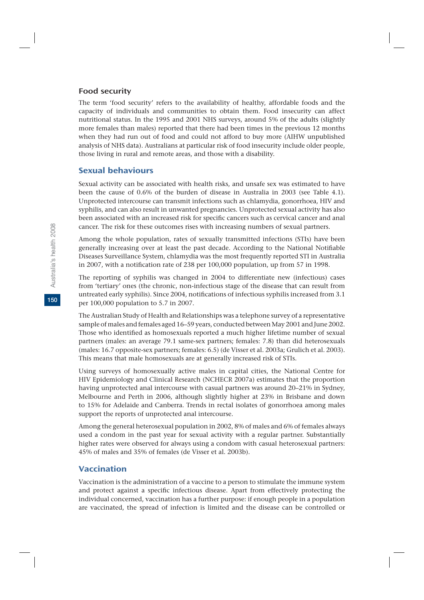#### Food security

The term 'food security' refers to the availability of healthy, affordable foods and the capacity of individuals and communities to obtain them. Food insecurity can affect nutritional status. In the 1995 and 2001 NHS surveys, around 5% of the adults (slightly more females than males) reported that there had been times in the previous 12 months when they had run out of food and could not afford to buy more (AIHW unpublished analysis of NHS data). Australians at particular risk of food insecurity include older people, those living in rural and remote areas, and those with a disability.

# Sexual behaviours

Sexual activity can be associated with health risks, and unsafe sex was estimated to have been the cause of 0.6% of the burden of disease in Australia in 2003 (see Table 4.1). Unprotected intercourse can transmit infections such as chlamydia, gonorrhoea, HIV and syphilis, and can also result in unwanted pregnancies. Unprotected sexual activity has also been associated with an increased risk for specific cancers such as cervical cancer and anal cancer. The risk for these outcomes rises with increasing numbers of sexual partners.

Among the whole population, rates of sexually transmitted infections (STIs) have been generally increasing over at least the past decade. According to the National Notifiable Diseases Surveillance System, chlamydia was the most frequently reported STI in Australia in 2007, with a notification rate of 238 per 100,000 population, up from 57 in 1998.

The reporting of syphilis was changed in 2004 to differentiate new (infectious) cases from 'tertiary' ones (the chronic, non-infectious stage of the disease that can result from untreated early syphilis). Since 2004, notifications of infectious syphilis increased from 3.1 per 100,000 population to 5.7 in 2007.

The Australian Study of Health and Relationships was a telephone survey of a representative sample of males and females aged 16–59 years, conducted between May 2001 and June 2002. Those who identified as homosexuals reported a much higher lifetime number of sexual partners (males: an average 79.1 same-sex partners; females: 7.8) than did heterosexuals (males: 16.7 opposite-sex partners; females: 6.5) (de Visser et al. 2003a; Grulich et al. 2003). This means that male homosexuals are at generally increased risk of STIs.

Using surveys of homosexually active males in capital cities, the National Centre for HIV Epidemiology and Clinical Research (NCHECR 2007a) estimates that the proportion having unprotected anal intercourse with casual partners was around 20–21% in Sydney, Melbourne and Perth in 2006, although slightly higher at 23% in Brisbane and down to 15% for Adelaide and Canberra. Trends in rectal isolates of gonorrhoea among males support the reports of unprotected anal intercourse.

Among the general heterosexual population in 2002, 8% of males and 6% of females always used a condom in the past year for sexual activity with a regular partner. Substantially higher rates were observed for always using a condom with casual heterosexual partners: 45% of males and 35% of females (de Visser et al. 2003b).

# Vaccination

Vaccination is the administration of a vaccine to a person to stimulate the immune system and protect against a specific infectious disease. Apart from effectively protecting the individual concerned, vaccination has a further purpose: if enough people in a population are vaccinated, the spread of infection is limited and the disease can be controlled or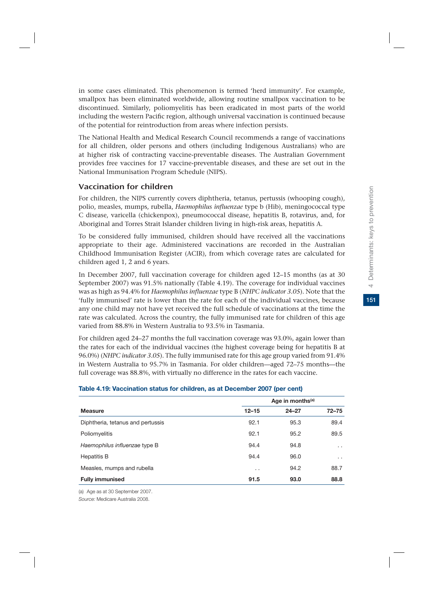in some cases eliminated. This phenomenon is termed 'herd immunity'. For example, smallpox has been eliminated worldwide, allowing routine smallpox vaccination to be discontinued. Similarly, poliomyelitis has been eradicated in most parts of the world including the western Pacific region, although universal vaccination is continued because of the potential for reintroduction from areas where infection persists.

The National Health and Medical Research Council recommends a range of vaccinations for all children, older persons and others (including Indigenous Australians) who are at higher risk of contracting vaccine-preventable diseases. The Australian Government provides free vaccines for 17 vaccine-preventable diseases, and these are set out in the National Immunisation Program Schedule (NIPS).

#### Vaccination for children

For children, the NIPS currently covers diphtheria, tetanus, pertussis (whooping cough), polio, measles, mumps, rubella, *Haemophilus influenzae* type b (Hib), meningococcal type C disease, varicella (chickenpox), pneumococcal disease, hepatitis B, rotavirus, and, for Aboriginal and Torres Strait Islander children living in high-risk areas, hepatitis A.

To be considered fully immunised, children should have received all the vaccinations appropriate to their age. Administered vaccinations are recorded in the Australian Childhood Immunisation Register (ACIR), from which coverage rates are calculated for children aged 1, 2 and 6 years.

In December 2007, full vaccination coverage for children aged 12–15 months (as at 30 September 2007) was 91.5% nationally (Table 4.19). The coverage for individual vaccines was as high as 94.4% for *Haemophilus influenzae* type B (*NHPC indicator 3.05*). Note that the 'fully immunised' rate is lower than the rate for each of the individual vaccines, because any one child may not have yet received the full schedule of vaccinations at the time the rate was calculated. Across the country, the fully immunised rate for children of this age varied from 88.8% in Western Australia to 93.5% in Tasmania.

For children aged 24–27 months the full vaccination coverage was 93.0%, again lower than the rates for each of the individual vaccines (the highest coverage being for hepatitis B at 96.0%) (*NHPC indicator 3.05*). The fully immunised rate for this age group varied from 91.4% in Western Australia to 95.7% in Tasmania. For older children—aged 72–75 months—the full coverage was 88.8%, with virtually no difference in the rates for each vaccine.

#### **Table 4.19: Vaccination status for children, as at December 2007 (per cent)**

|                                   | Age in months <sup>(a)</sup> |           |                 |  |
|-----------------------------------|------------------------------|-----------|-----------------|--|
| <b>Measure</b>                    | $12 - 15$                    | $24 - 27$ | $72 - 75$       |  |
| Diphtheria, tetanus and pertussis | 92.1                         | 95.3      | 89.4            |  |
| Poliomyelitis                     | 92.1                         | 95.2      | 89.5            |  |
| Haemophilus influenzae type B     | 94.4                         | 94.8      | $\cdot$ $\cdot$ |  |
| Hepatitis B                       | 94.4                         | 96.0      | . .             |  |
| Measles, mumps and rubella        | $\cdot$ .                    | 94.2      | 88.7            |  |
| <b>Fully immunised</b>            | 91.5                         | 93.0      | 88.8            |  |

(a) Age as at 30 September 2007.

*Source:* Medicare Australia 2008.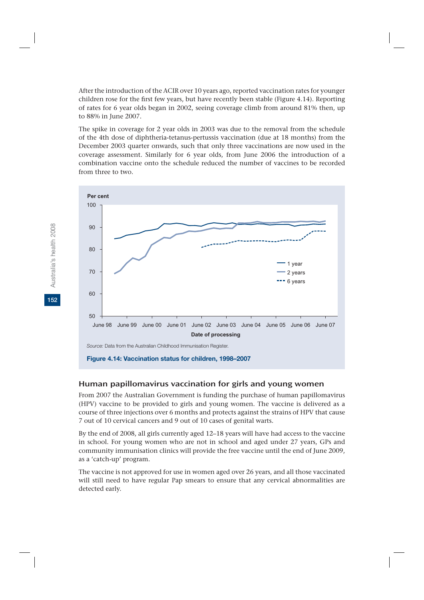After the introduction of the ACIR over 10 years ago, reported vaccination rates for younger children rose for the first few years, but have recently been stable (Figure 4.14). Reporting of rates for 6 year olds began in 2002, seeing coverage climb from around 81% then, up to 88% in June 2007.

The spike in coverage for 2 year olds in 2003 was due to the removal from the schedule of the 4th dose of diphtheria-tetanus-pertussis vaccination (due at 18 months) from the December 2003 quarter onwards, such that only three vaccinations are now used in the coverage assessment. Similarly for 6 year olds, from June 2006 the introduction of a combination vaccine onto the schedule reduced the number of vaccines to be recorded from three to two.



# Human papillomavirus vaccination for girls and young women

From 2007 the Australian Government is funding the purchase of human papillomavirus (HPV) vaccine to be provided to girls and young women. The vaccine is delivered as a course of three injections over 6 months and protects against the strains of HPV that cause 7 out of 10 cervical cancers and 9 out of 10 cases of genital warts.

By the end of 2008, all girls currently aged 12–18 years will have had access to the vaccine in school. For young women who are not in school and aged under 27 years, GPs and community immunisation clinics will provide the free vaccine until the end of June 2009, as a 'catch-up' program.

The vaccine is not approved for use in women aged over 26 years, and all those vaccinated will still need to have regular Pap smears to ensure that any cervical abnormalities are detected early.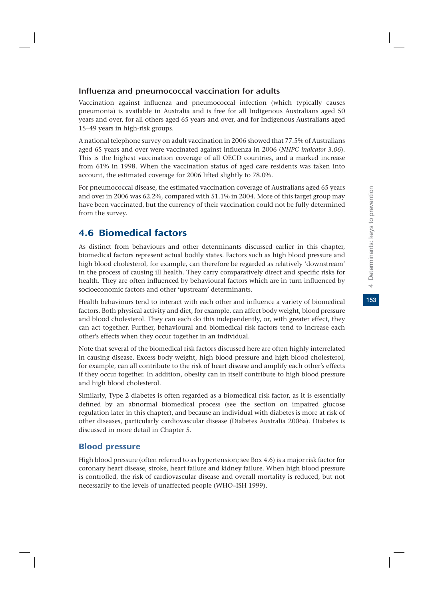# Influenza and pneumococcal vaccination for adults

Vaccination against influenza and pneumococcal infection (which typically causes pneumonia) is available in Australia and is free for all Indigenous Australians aged 50 years and over, for all others aged 65 years and over, and for Indigenous Australians aged 15–49 years in high-risk groups.

A national telephone survey on adult vaccination in 2006 showed that 77.5% of Australians aged 65 years and over were vaccinated against influenza in 2006 (*NHPC indicator 3.06*). This is the highest vaccination coverage of all OECD countries, and a marked increase from 61% in 1998. When the vaccination status of aged care residents was taken into account, the estimated coverage for 2006 lifted slightly to 78.0%.

For pneumococcal disease, the estimated vaccination coverage of Australians aged 65 years and over in 2006 was 62.2%, compared with 51.1% in 2004. More of this target group may have been vaccinated, but the currency of their vaccination could not be fully determined from the survey.

# 4.6 Biomedical factors

As distinct from behaviours and other determinants discussed earlier in this chapter, biomedical factors represent actual bodily states. Factors such as high blood pressure and high blood cholesterol, for example, can therefore be regarded as relatively 'downstream' in the process of causing ill health. They carry comparatively direct and specific risks for health. They are often influenced by behavioural factors which are in turn influenced by socioeconomic factors and other 'upstream' determinants.

Health behaviours tend to interact with each other and influence a variety of biomedical factors. Both physical activity and diet, for example, can affect body weight, blood pressure and blood cholesterol. They can each do this independently, or, with greater effect, they can act together. Further, behavioural and biomedical risk factors tend to increase each other's effects when they occur together in an individual.

Note that several of the biomedical risk factors discussed here are often highly interrelated in causing disease. Excess body weight, high blood pressure and high blood cholesterol, for example, can all contribute to the risk of heart disease and amplify each other's effects if they occur together. In addition, obesity can in itself contribute to high blood pressure and high blood cholesterol.

Similarly, Type 2 diabetes is often regarded as a biomedical risk factor, as it is essentially defined by an abnormal biomedical process (see the section on impaired glucose regulation later in this chapter), and because an individual with diabetes is more at risk of other diseases, particularly cardiovascular disease (Diabetes Australia 2006a). Diabetes is discussed in more detail in Chapter 5.

# Blood pressure

High blood pressure (often referred to as hypertension; see Box 4.6) is a major risk factor for coronary heart disease, stroke, heart failure and kidney failure. When high blood pressure is controlled, the risk of cardiovascular disease and overall mortality is reduced, but not necessarily to the levels of unaffected people (WHO–ISH 1999).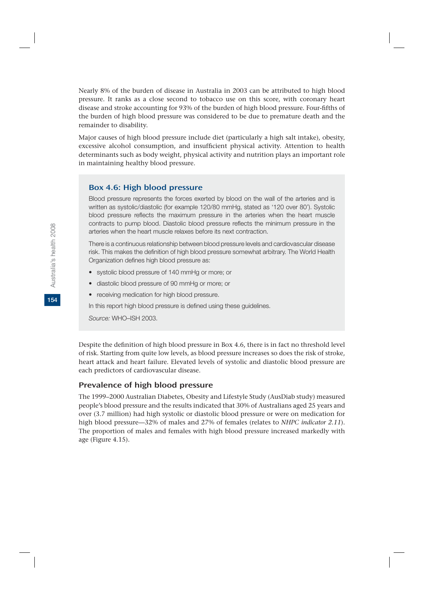Nearly 8% of the burden of disease in Australia in 2003 can be attributed to high blood pressure. It ranks as a close second to tobacco use on this score, with coronary heart disease and stroke accounting for 93% of the burden of high blood pressure. Four-fifths of the burden of high blood pressure was considered to be due to premature death and the remainder to disability.

Major causes of high blood pressure include diet (particularly a high salt intake), obesity, excessive alcohol consumption, and insufficient physical activity. Attention to health determinants such as body weight, physical activity and nutrition plays an important role in maintaining healthy blood pressure.

#### Box 4.6: High blood pressure

Blood pressure represents the forces exerted by blood on the wall of the arteries and is written as systolic/diastolic (for example 120/80 mmHg, stated as '120 over 80'). Systolic blood pressure reflects the maximum pressure in the arteries when the heart muscle contracts to pump blood. Diastolic blood pressure reflects the minimum pressure in the arteries when the heart muscle relaxes before its next contraction.

There is a continuous relationship between blood pressure levels and cardiovascular disease risk. This makes the definition of high blood pressure somewhat arbitrary. The World Health Organization defines high blood pressure as:

- systolic blood pressure of 140 mmHg or more; or
- diastolic blood pressure of 90 mmHg or more; or
- receiving medication for high blood pressure.

In this report high blood pressure is defined using these guidelines.

*Source:* WHO–ISH 2003.

Despite the definition of high blood pressure in Box 4.6, there is in fact no threshold level of risk. Starting from quite low levels, as blood pressure increases so does the risk of stroke, heart attack and heart failure. Elevated levels of systolic and diastolic blood pressure are each predictors of cardiovascular disease.

#### Prevalence of high blood pressure

The 1999–2000 Australian Diabetes, Obesity and Lifestyle Study (AusDiab study) measured people's blood pressure and the results indicated that 30% of Australians aged 25 years and over (3.7 million) had high systolic or diastolic blood pressure or were on medication for high blood pressure—32% of males and 27% of females (relates to *NHPC indicator 2.11*). The proportion of males and females with high blood pressure increased markedly with age (Figure 4.15).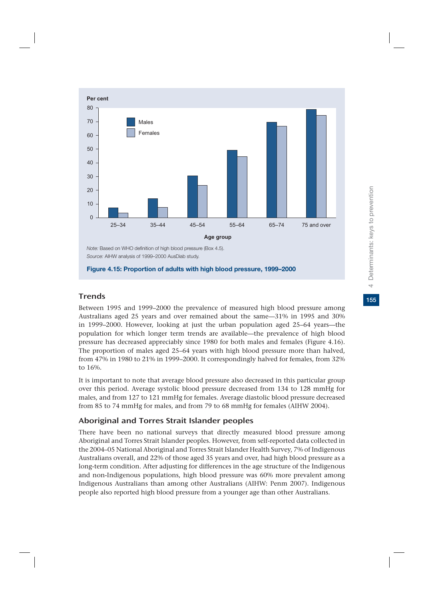

# **Trends**

Between 1995 and 1999–2000 the prevalence of measured high blood pressure among Australians aged 25 years and over remained about the same—31% in 1995 and 30% in 1999–2000. However, looking at just the urban population aged 25–64 years—the population for which longer term trends are available—the prevalence of high blood pressure has decreased appreciably since 1980 for both males and females (Figure 4.16). The proportion of males aged 25–64 years with high blood pressure more than halved, from 47% in 1980 to 21% in 1999–2000. It correspondingly halved for females, from 32% to 16%.

It is important to note that average blood pressure also decreased in this particular group over this period. Average systolic blood pressure decreased from 134 to 128 mmHg for males, and from 127 to 121 mmHg for females. Average diastolic blood pressure decreased from 85 to 74 mmHg for males, and from 79 to 68 mmHg for females (AIHW 2004).

# Aboriginal and Torres Strait Islander peoples

There have been no national surveys that directly measured blood pressure among Aboriginal and Torres Strait Islander peoples. However, from self-reported data collected in the 2004–05 National Aboriginal and Torres Strait Islander Health Survey, 7% of Indigenous Australians overall, and 22% of those aged 35 years and over, had high blood pressure as a long-term condition. After adjusting for differences in the age structure of the Indigenous and non-Indigenous populations, high blood pressure was 60% more prevalent among Indigenous Australians than among other Australians (AIHW: Penm 2007). Indigenous people also reported high blood pressure from a younger age than other Australians.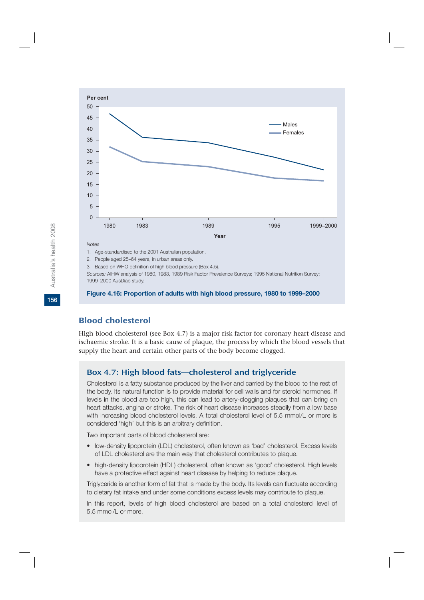

*Sources:* AIHW analysis of 1980, 1983, 1989 Risk Factor Prevalence Surveys; 1995 National Nutrition Survey; 1999–2000 AusDiab study.

#### **Figure 4.16: Proportion of adults with high blood pressure, 1980 to 1999–2000**

# Blood cholesterol

High blood cholesterol (see Box 4.7) is a major risk factor for coronary heart disease and ischaemic stroke. It is a basic cause of plaque, the process by which the blood vessels that supply the heart and certain other parts of the body become clogged.

# Box 4.7: High blood fats—cholesterol and triglyceride

Cholesterol is a fatty substance produced by the liver and carried by the blood to the rest of the body. Its natural function is to provide material for cell walls and for steroid hormones. If levels in the blood are too high, this can lead to artery-clogging plaques that can bring on heart attacks, angina or stroke. The risk of heart disease increases steadily from a low base with increasing blood cholesterol levels. A total cholesterol level of 5.5 mmol/L or more is considered 'high' but this is an arbitrary definition.

Two important parts of blood cholesterol are:

- low-density lipoprotein (LDL) cholesterol, often known as 'bad' cholesterol. Excess levels of LDL cholesterol are the main way that cholesterol contributes to plaque.
- high-density lipoprotein (HDL) cholesterol, often known as 'good' cholesterol. High levels have a protective effect against heart disease by helping to reduce plaque.

Triglyceride is another form of fat that is made by the body. Its levels can fluctuate according to dietary fat intake and under some conditions excess levels may contribute to plaque.

In this report, levels of high blood cholesterol are based on a total cholesterol level of 5.5 mmol/L or more.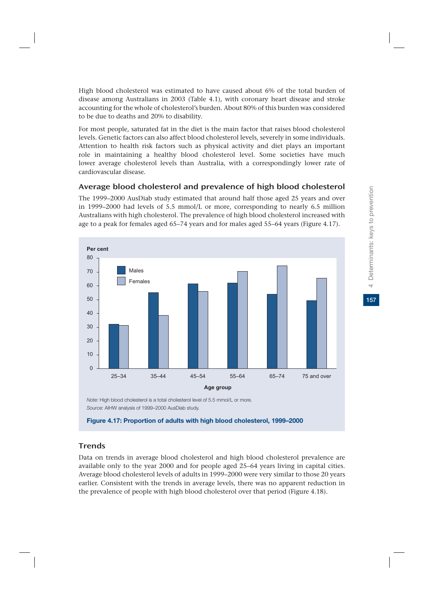High blood cholesterol was estimated to have caused about 6% of the total burden of disease among Australians in 2003 (Table 4.1), with coronary heart disease and stroke accounting for the whole of cholesterol's burden. About 80% of this burden was considered to be due to deaths and 20% to disability.

For most people, saturated fat in the diet is the main factor that raises blood cholesterol levels. Genetic factors can also affect blood cholesterol levels, severely in some individuals. Attention to health risk factors such as physical activity and diet plays an important role in maintaining a healthy blood cholesterol level. Some societies have much lower average cholesterol levels than Australia, with a correspondingly lower rate of cardiovascular disease.

# Average blood cholesterol and prevalence of high blood cholesterol

The 1999–2000 AusDiab study estimated that around half those aged 25 years and over in 1999–2000 had levels of 5.5 mmol/L or more, corresponding to nearly 6.5 million Australians with high cholesterol. The prevalence of high blood cholesterol increased with age to a peak for females aged 65–74 years and for males aged 55–64 years (Figure 4.17).



*Note:* High blood cholesterol is a total cholesterol level of 5.5 mmol/L or more. *Source:* AIHW analysis of 1999–2000 AusDiab study.



# **Trends**

Data on trends in average blood cholesterol and high blood cholesterol prevalence are available only to the year 2000 and for people aged 25–64 years living in capital cities. Average blood cholesterol levels of adults in 1999–2000 were very similar to those 20 years earlier. Consistent with the trends in average levels, there was no apparent reduction in the prevalence of people with high blood cholesterol over that period (Figure 4.18).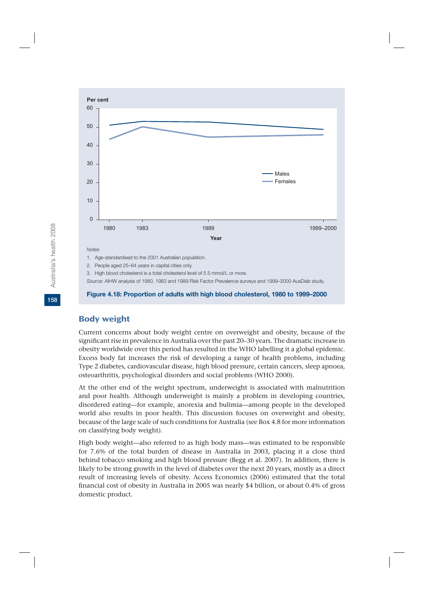

#### **Figure 4.18: Proportion of adults with high blood cholesterol, 1980 to 1999–2000**

#### Body weight

Current concerns about body weight centre on overweight and obesity, because of the significant rise in prevalence in Australia over the past 20–30 years. The dramatic increase in obesity worldwide over this period has resulted in the WHO labelling it a global epidemic. Excess body fat increases the risk of developing a range of health problems, including Type 2 diabetes, cardiovascular disease, high blood pressure, certain cancers, sleep apnoea, osteoarthritis, psychological disorders and social problems (WHO 2000).

At the other end of the weight spectrum, underweight is associated with malnutrition and poor health. Although underweight is mainly a problem in developing countries, disordered eating—for example, anorexia and bulimia—among people in the developed world also results in poor health. This discussion focuses on overweight and obesity, because of the large scale of such conditions for Australia (see Box 4.8 for more information on classifying body weight).

High body weight—also referred to as high body mass—was estimated to be responsible for 7.6% of the total burden of disease in Australia in 2003, placing it a close third behind tobacco smoking and high blood pressure (Begg et al. 2007). In addition, there is likely to be strong growth in the level of diabetes over the next 20 years, mostly as a direct result of increasing levels of obesity. Access Economics (2006) estimated that the total financial cost of obesity in Australia in 2005 was nearly \$4 billion, or about 0.4% of gross domestic product.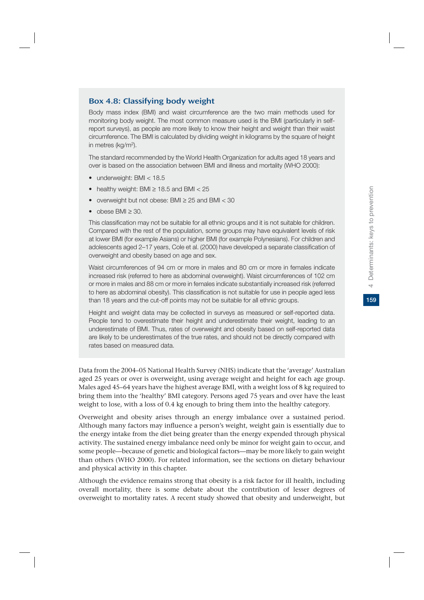#### Box 4.8: Classifying body weight

Body mass index (BMI) and waist circumference are the two main methods used for monitoring body weight. The most common measure used is the BMI (particularly in selfreport surveys), as people are more likely to know their height and weight than their waist circumference. The BMI is calculated by dividing weight in kilograms by the square of height in metres (kg/m2).

The standard recommended by the World Health Organization for adults aged 18 years and over is based on the association between BMI and illness and mortality (WHO 2000):

- underweight: BMI < 18.5
- healthy weight: BMI  $\ge$  18.5 and BMI  $<$  25
- overweight but not obese: BMI  $\geq$  25 and BMI < 30
- $\bullet$  obese BMI  $\geq$  30.

This classification may not be suitable for all ethnic groups and it is not suitable for children. Compared with the rest of the population, some groups may have equivalent levels of risk at lower BMI (for example Asians) or higher BMI (for example Polynesians). For children and adolescents aged 2–17 years, Cole et al. (2000) have developed a separate classification of overweight and obesity based on age and sex.

Waist circumferences of 94 cm or more in males and 80 cm or more in females indicate increased risk (referred to here as abdominal overweight). Waist circumferences of 102 cm or more in males and 88 cm or more in females indicate substantially increased risk (referred to here as abdominal obesity). This classification is not suitable for use in people aged less than 18 years and the cut-off points may not be suitable for all ethnic groups.

Height and weight data may be collected in surveys as measured or self-reported data. People tend to overestimate their height and underestimate their weight, leading to an underestimate of BMI. Thus, rates of overweight and obesity based on self-reported data are likely to be underestimates of the true rates, and should not be directly compared with rates based on measured data.

Data from the 2004–05 National Health Survey (NHS) indicate that the 'average' Australian aged 25 years or over is overweight, using average weight and height for each age group. Males aged 45–64 years have the highest average BMI, with a weight loss of 8 kg required to bring them into the 'healthy' BMI category. Persons aged 75 years and over have the least weight to lose, with a loss of 0.4 kg enough to bring them into the healthy category.

Overweight and obesity arises through an energy imbalance over a sustained period. Although many factors may influence a person's weight, weight gain is essentially due to the energy intake from the diet being greater than the energy expended through physical activity. The sustained energy imbalance need only be minor for weight gain to occur, and some people—because of genetic and biological factors—may be more likely to gain weight than others (WHO 2000). For related information, see the sections on dietary behaviour and physical activity in this chapter.

Although the evidence remains strong that obesity is a risk factor for ill health, including overall mortality, there is some debate about the contribution of lesser degrees of overweight to mortality rates. A recent study showed that obesity and underweight, but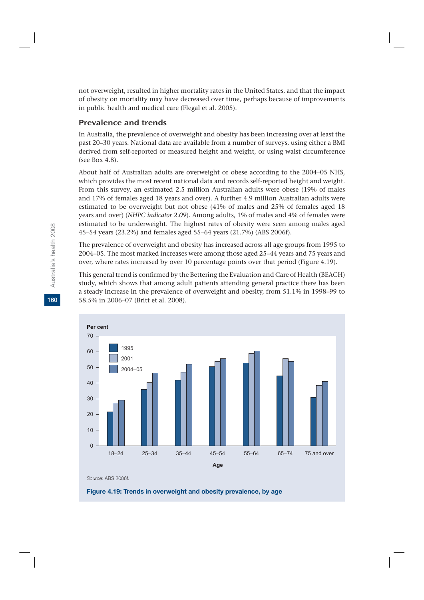not overweight, resulted in higher mortality rates in the United States, and that the impact of obesity on mortality may have decreased over time, perhaps because of improvements in public health and medical care (Flegal et al. 2005).

#### Prevalence and trends

In Australia, the prevalence of overweight and obesity has been increasing over at least the past 20–30 years. National data are available from a number of surveys, using either a BMI derived from self-reported or measured height and weight, or using waist circumference (see Box 4.8).

About half of Australian adults are overweight or obese according to the 2004–05 NHS, which provides the most recent national data and records self-reported height and weight. From this survey, an estimated 2.5 million Australian adults were obese (19% of males and 17% of females aged 18 years and over). A further 4.9 million Australian adults were estimated to be overweight but not obese (41% of males and 25% of females aged 18 years and over) (*NHPC indicator 2.09*). Among adults, 1% of males and 4% of females were estimated to be underweight. The highest rates of obesity were seen among males aged 45–54 years (23.2%) and females aged 55–64 years (21.7%) (ABS 2006f).

The prevalence of overweight and obesity has increased across all age groups from 1995 to 2004–05. The most marked increases were among those aged 25–44 years and 75 years and over, where rates increased by over 10 percentage points over that period (Figure 4.19).

This general trend is confirmed by the Bettering the Evaluation and Care of Health (BEACH) study, which shows that among adult patients attending general practice there has been a steady increase in the prevalence of overweight and obesity, from 51.1% in 1998–99 to 58.5% in 2006–07 (Britt et al. 2008).



*Source:* ABS 2006f.

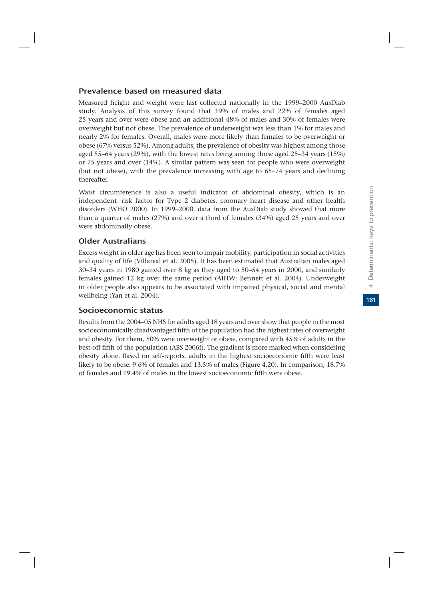# Prevalence based on measured data

Measured height and weight were last collected nationally in the 1999–2000 AusDiab study. Analysis of this survey found that 19% of males and 22% of females aged 25 years and over were obese and an additional 48% of males and 30% of females were overweight but not obese. The prevalence of underweight was less than 1% for males and nearly 2% for females. Overall, males were more likely than females to be overweight or obese (67% versus 52%). Among adults, the prevalence of obesity was highest among those aged 55–64 years (29%), with the lowest rates being among those aged 25–34 years (15%) or 75 years and over (14%). A similar pattern was seen for people who were overweight (but not obese), with the prevalence increasing with age to 65–74 years and declining thereafter.

Waist circumference is also a useful indicator of abdominal obesity, which is an independent risk factor for Type 2 diabetes, coronary heart disease and other health disorders (WHO 2000). In 1999–2000, data from the AusDiab study showed that more than a quarter of males (27%) and over a third of females (34%) aged 25 years and over were abdominally obese.

# Older Australians

Excess weight in older age has been seen to impair mobility, participation in social activities and quality of life (Villareal et al. 2005). It has been estimated that Australian males aged 30–34 years in 1980 gained over 8 kg as they aged to 50–54 years in 2000, and similarly females gained 12 kg over the same period (AIHW: Bennett et al. 2004). Underweight in older people also appears to be associated with impaired physical, social and mental wellbeing (Yan et al. 2004).

# Socioeconomic status

Results from the 2004–05 NHS for adults aged 18 years and over show that people in the most socioeconomically disadvantaged fifth of the population had the highest rates of overweight and obesity. For them, 50% were overweight or obese, compared with 45% of adults in the best-off fifth of the population (ABS 2006f). The gradient is more marked when considering obesity alone. Based on self-reports, adults in the highest socioeconomic fifth were least likely to be obese: 9.6% of females and 13.5% of males (Figure 4.20). In comparison, 18.7% of females and 19.4% of males in the lowest socioeconomic fifth were obese.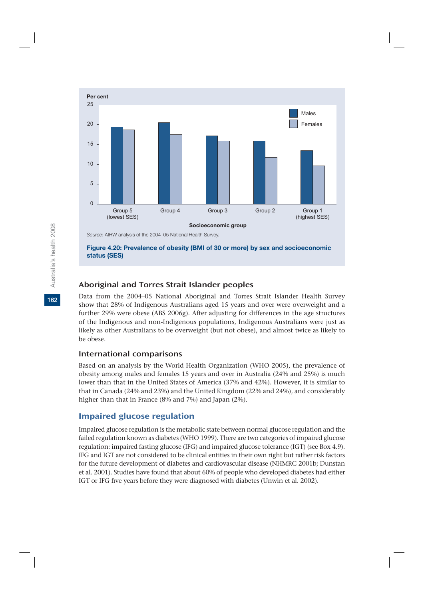

# Aboriginal and Torres Strait Islander peoples

Data from the 2004–05 National Aboriginal and Torres Strait Islander Health Survey show that 28% of Indigenous Australians aged 15 years and over were overweight and a further 29% were obese (ABS 2006g). After adjusting for differences in the age structures of the Indigenous and non-Indigenous populations, Indigenous Australians were just as likely as other Australians to be overweight (but not obese), and almost twice as likely to be obese.

#### International comparisons

Based on an analysis by the World Health Organization (WHO 2005), the prevalence of obesity among males and females 15 years and over in Australia (24% and 25%) is much lower than that in the United States of America (37% and 42%). However, it is similar to that in Canada (24% and 23%) and the United Kingdom (22% and 24%), and considerably higher than that in France (8% and 7%) and Japan (2%).

# Impaired glucose regulation

Impaired glucose regulation is the metabolic state between normal glucose regulation and the failed regulation known as diabetes (WHO 1999). There are two categories of impaired glucose regulation: impaired fasting glucose (IFG) and impaired glucose tolerance (IGT) (see Box 4.9). IFG and IGT are not considered to be clinical entities in their own right but rather risk factors for the future development of diabetes and cardiovascular disease (NHMRC 2001b; Dunstan et al. 2001). Studies have found that about 60% of people who developed diabetes had either IGT or IFG five years before they were diagnosed with diabetes (Unwin et al. 2002).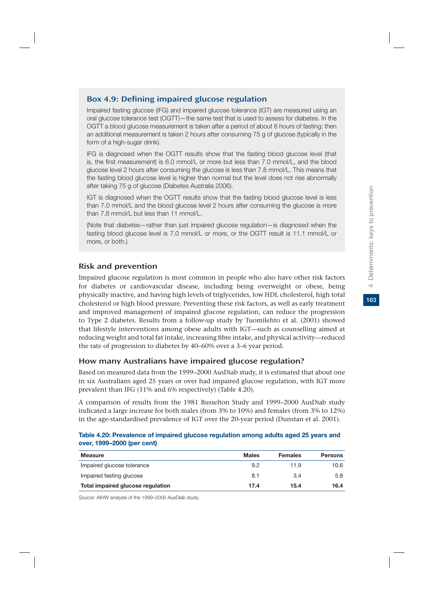# Box 4.9: Defining impaired glucose regulation

Impaired fasting glucose (IFG) and impaired glucose tolerance (IGT) are measured using an oral glucose tolerance test (OGTT)—the same test that is used to assess for diabetes. In the OGTT a blood glucose measurement is taken after a period of about 8 hours of fasting; then an additional measurement is taken 2 hours after consuming 75 g of glucose (typically in the form of a high-sugar drink).

IFG is diagnosed when the OGTT results show that the fasting blood glucose level (that is, the first measurement) is 6.0 mmol/L or more but less than 7.0 mmol/L, and the blood glucose level 2 hours after consuming the glucose is less than 7.8 mmol/L. This means that the fasting blood glucose level is higher than normal but the level does not rise abnormally after taking 75 g of glucose (Diabetes Australia 2006).

IGT is diagnosed when the OGTT results show that the fasting blood glucose level is less than 7.0 mmol/L and the blood glucose level 2 hours after consuming the glucose is more than 7.8 mmol/L but less than 11 mmol/L.

(Note that diabetes—rather than just impaired glucose regulation—is diagnosed when the fasting blood glucose level is 7.0 mmol/L or more, or the OGTT result is 11.1 mmol/L or more, or both.)

# Risk and prevention

Impaired glucose regulation is most common in people who also have other risk factors for diabetes or cardiovascular disease, including being overweight or obese, being physically inactive, and having high levels of triglycerides, low HDL cholesterol, high total cholesterol or high blood pressure. Preventing these risk factors, as well as early treatment and improved management of impaired glucose regulation, can reduce the progression to Type 2 diabetes. Results from a follow-up study by Tuomilehto et al. (2001) showed that lifestyle interventions among obese adults with IGT—such as counselling aimed at reducing weight and total fat intake, increasing fibre intake, and physical activity—reduced the rate of progression to diabetes by 40–60% over a 3–6 year period.

# How many Australians have impaired glucose regulation?

Based on measured data from the 1999–2000 AusDiab study, it is estimated that about one in six Australians aged 25 years or over had impaired glucose regulation, with IGT more prevalent than IFG (11% and 6% respectively) (Table 4.20).

A comparison of results from the 1981 Busselton Study and 1999–2000 AusDiab study indicated a large increase for both males (from 3% to 10%) and females (from 3% to 12%) in the age-standardised prevalence of IGT over the 20-year period (Dunstan et al. 2001).

|  |                            | Table 4.20: Prevalence of impaired glucose regulation among adults aged 25 years and |  |  |  |  |
|--|----------------------------|--------------------------------------------------------------------------------------|--|--|--|--|
|  | over, 1999–2000 (per cent) |                                                                                      |  |  |  |  |

| <b>Measure</b>                    | <b>Males</b> | <b>Females</b> | <b>Persons</b> |
|-----------------------------------|--------------|----------------|----------------|
| Impaired glucose tolerance        | 9.2          | 11.9           | 10.6           |
| Impaired fasting glucose          | 8.1          | 3.4            | 5.8            |
| Total impaired glucose regulation | 17.4         | 15.4           | 16.4           |

*Source:* AIHW analysis of the 1999–2000 AusDiab study.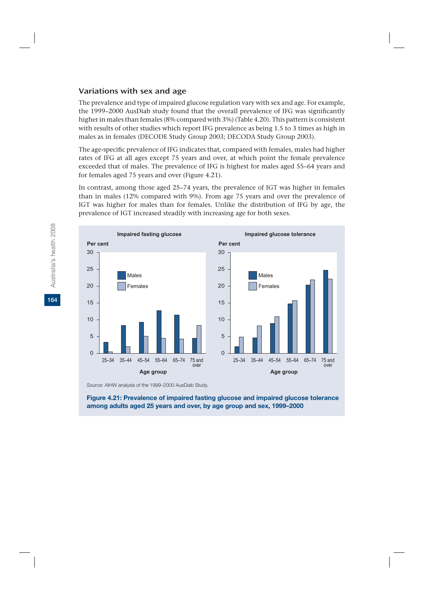# Variations with sex and age

The prevalence and type of impaired glucose regulation vary with sex and age. For example, the 1999–2000 AusDiab study found that the overall prevalence of IFG was significantly higher in males than females (8% compared with 3%) (Table 4.20). This pattern is consistent with results of other studies which report IFG prevalence as being 1.5 to 3 times as high in males as in females (DECODE Study Group 2003; DECODA Study Group 2003).

The age-specific prevalence of IFG indicates that, compared with females, males had higher rates of IFG at all ages except 75 years and over, at which point the female prevalence exceeded that of males. The prevalence of IFG is highest for males aged 55–64 years and for females aged 75 years and over (Figure 4.21).

In contrast, among those aged 25–74 years, the prevalence of IGT was higher in females than in males (12% compared with 9%). From age 75 years and over the prevalence of IGT was higher for males than for females. Unlike the distribution of IFG by age, the prevalence of IGT increased steadily with increasing age for both sexes.



*Source:* AIHW analysis of the 1999–2000 AusDiab Study.

**Figure 4.21: Prevalence of impaired fasting glucose and impaired glucose tolerance among adults aged 25 years and over, by age group and sex, 1999–2000**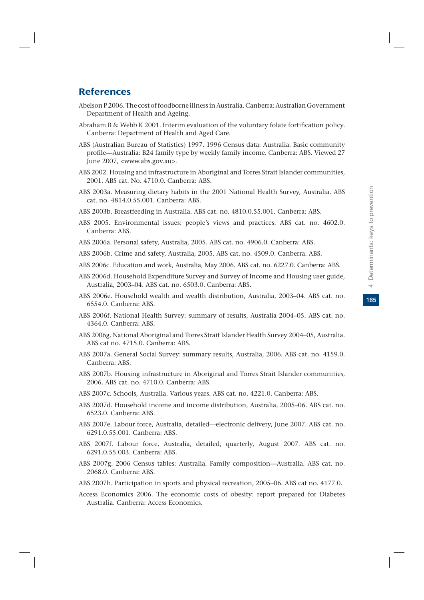# **References**

- Abelson P 2006. The cost of foodborne illness in Australia. Canberra: Australian Government Department of Health and Ageing.
- Abraham B & Webb K 2001. Interim evaluation of the voluntary folate fortification policy. Canberra: Department of Health and Aged Care.
- ABS (Australian Bureau of Statistics) 1997. 1996 Census data: Australia. Basic community profile—Australia: B24 family type by weekly family income. Canberra: ABS. Viewed 27 June 2007, <www.abs.gov.au>.
- ABS 2002. Housing and infrastructure in Aboriginal and Torres Strait Islander communities, 2001. ABS cat. No. 4710.0. Canberra: ABS.
- ABS 2003a. Measuring dietary habits in the 2001 National Health Survey, Australia. ABS cat. no. 4814.0.55.001. Canberra: ABS.
- ABS 2003b. Breastfeeding in Australia. ABS cat. no. 4810.0.55.001. Canberra: ABS.
- ABS 2005. Environmental issues: people's views and practices. ABS cat. no. 4602.0. Canberra: ABS.
- ABS 2006a. Personal safety, Australia, 2005. ABS cat. no. 4906.0. Canberra: ABS.
- ABS 2006b. Crime and safety, Australia, 2005. ABS cat. no. 4509.0. Canberra: ABS.
- ABS 2006c. Education and work, Australia, May 2006. ABS cat. no. 6227.0. Canberra: ABS.
- ABS 2006d. Household Expenditure Survey and Survey of Income and Housing user guide, Australia, 2003–04. ABS cat. no. 6503.0. Canberra: ABS.
- ABS 2006e. Household wealth and wealth distribution, Australia, 2003–04. ABS cat. no. 6554.0. Canberra: ABS.
- ABS 2006f. National Health Survey: summary of results, Australia 2004–05. ABS cat. no. 4364.0. Canberra: ABS.
- ABS 2006g. National Aboriginal and Torres Strait Islander Health Survey 2004–05, Australia. ABS cat no. 4715.0. Canberra: ABS.
- ABS 2007a. General Social Survey: summary results, Australia, 2006. ABS cat. no. 4159.0. Canberra: ABS.
- ABS 2007b. Housing infrastructure in Aboriginal and Torres Strait Islander communities, 2006. ABS cat. no. 4710.0. Canberra: ABS.
- ABS 2007c. Schools, Australia. Various years. ABS cat. no. 4221.0. Canberra: ABS.
- ABS 2007d. Household income and income distribution, Australia, 2005–06. ABS cat. no. 6523.0. Canberra: ABS.
- ABS 2007e. Labour force, Australia, detailed—electronic delivery, June 2007. ABS cat. no. 6291.0.55.001. Canberra: ABS.
- ABS 2007f. Labour force, Australia, detailed, quarterly, August 2007. ABS cat. no. 6291.0.55.003. Canberra: ABS.
- ABS 2007g. 2006 Census tables: Australia. Family composition—Australia. ABS cat. no. 2068.0. Canberra: ABS.
- ABS 2007h. Participation in sports and physical recreation, 2005–06. ABS cat no. 4177.0.
- Access Economics 2006. The economic costs of obesity: report prepared for Diabetes Australia. Canberra: Access Economics.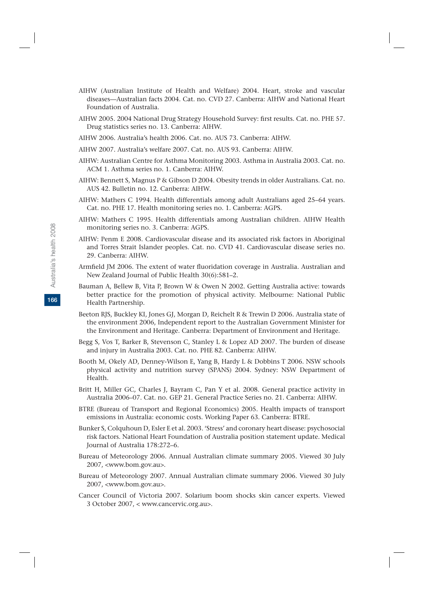- AIHW (Australian Institute of Health and Welfare) 2004. Heart, stroke and vascular diseases—Australian facts 2004. Cat. no. CVD 27. Canberra: AIHW and National Heart Foundation of Australia.
- AIHW 2005. 2004 National Drug Strategy Household Survey: first results. Cat. no. PHE 57. Drug statistics series no. 13. Canberra: AIHW.
- AIHW 2006. Australia's health 2006. Cat. no. AUS 73. Canberra: AIHW.
- AIHW 2007. Australia's welfare 2007. Cat. no. AUS 93. Canberra: AIHW.
- AIHW: Australian Centre for Asthma Monitoring 2003. Asthma in Australia 2003. Cat. no. ACM 1. Asthma series no. 1. Canberra: AIHW.
- AIHW: Bennett S, Magnus P & Gibson D 2004. Obesity trends in older Australians. Cat. no. AUS 42. Bulletin no. 12. Canberra: AIHW.
- AIHW: Mathers C 1994. Health differentials among adult Australians aged 25–64 years. Cat. no. PHE 17. Health monitoring series no. 1. Canberra: AGPS.
- AIHW: Mathers C 1995. Health differentials among Australian children. AIHW Health monitoring series no. 3. Canberra: AGPS.
- AIHW: Penm E 2008. Cardiovascular disease and its associated risk factors in Aboriginal and Torres Strait Islander peoples. Cat. no. CVD 41. Cardiovascular disease series no. 29. Canberra: AIHW.
- Armfield JM 2006. The extent of water fluoridation coverage in Australia. Australian and New Zealand Journal of Public Health 30(6):581–2.
- Bauman A, Bellew B, Vita P, Brown W & Owen N 2002. Getting Australia active: towards better practice for the promotion of physical activity. Melbourne: National Public Health Partnership.
- Beeton RJS, Buckley KI, Jones GJ, Morgan D, Reichelt R & Trewin D 2006. Australia state of the environment 2006, Independent report to the Australian Government Minister for the Environment and Heritage. Canberra: Department of Environment and Heritage.
- Begg S, Vos T, Barker B, Stevenson C, Stanley L & Lopez AD 2007. The burden of disease and injury in Australia 2003. Cat. no. PHE 82. Canberra: AIHW.
- Booth M, Okely AD, Denney-Wilson E, Yang B, Hardy L & Dobbins T 2006. NSW schools physical activity and nutrition survey (SPANS) 2004. Sydney: NSW Department of Health.
- Britt H, Miller GC, Charles J, Bayram C, Pan Y et al. 2008. General practice activity in Australia 2006–07. Cat. no. GEP 21. General Practice Series no. 21. Canberra: AIHW.
- BTRE (Bureau of Transport and Regional Economics) 2005. Health impacts of transport emissions in Australia: economic costs. Working Paper 63. Canberra: BTRE.
- Bunker S, Colquhoun D, Esler E et al. 2003. 'Stress' and coronary heart disease: psychosocial risk factors. National Heart Foundation of Australia position statement update. Medical Journal of Australia 178:272–6.
- Bureau of Meteorology 2006. Annual Australian climate summary 2005. Viewed 30 July 2007, <www.bom.gov.au>.
- Bureau of Meteorology 2007. Annual Australian climate summary 2006. Viewed 30 July 2007, <www.bom.gov.au>.
- Cancer Council of Victoria 2007. Solarium boom shocks skin cancer experts. Viewed 3 October 2007, < www.cancervic.org.au>.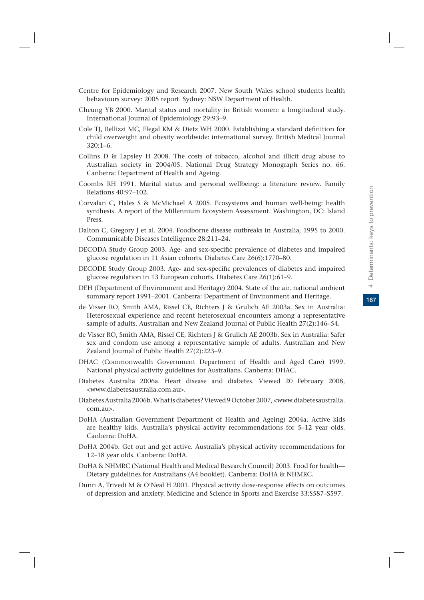- Centre for Epidemiology and Research 2007. New South Wales school students health behaviours survey: 2005 report. Sydney: NSW Department of Health.
- Cheung YB 2000. Marital status and mortality in British women: a longitudinal study. International Journal of Epidemiology 29:93–9.
- Cole TJ, Bellizzi MC, Flegal KM & Dietz WH 2000. Establishing a standard definition for child overweight and obesity worldwide: international survey. British Medical Journal 320:1–6.
- Collins D & Lapsley H 2008. The costs of tobacco, alcohol and illicit drug abuse to Australian society in 2004/05. National Drug Strategy Monograph Series no. 66. Canberra: Department of Health and Ageing.
- Coombs RH 1991. Marital status and personal wellbeing: a literature review. Family Relations 40:97–102.
- Corvalan C, Hales S & McMichael A 2005. Ecosystems and human well-being: health synthesis. A report of the Millennium Ecosystem Assessment. Washington, DC: Island Press.
- Dalton C, Gregory J et al. 2004. Foodborne disease outbreaks in Australia, 1995 to 2000. Communicable Diseases Intelligence 28:211–24.
- DECODA Study Group 2003. Age- and sex-specific prevalence of diabetes and impaired glucose regulation in 11 Asian cohorts. Diabetes Care 26(6):1770–80.
- DECODE Study Group 2003. Age- and sex-specific prevalences of diabetes and impaired glucose regulation in 13 European cohorts. Diabetes Care 26(1):61–9.
- DEH (Department of Environment and Heritage) 2004. State of the air, national ambient summary report 1991–2001. Canberra: Department of Environment and Heritage.
- de Visser RO, Smith AMA, Rissel CE, Richters J & Grulich AE 2003a. Sex in Australia: Heterosexual experience and recent heterosexual encounters among a representative sample of adults. Australian and New Zealand Journal of Public Health 27(2):146–54.
- de Visser RO, Smith AMA, Rissel CE, Richters J & Grulich AE 2003b. Sex in Australia: Safer sex and condom use among a representative sample of adults. Australian and New Zealand Journal of Public Health 27(2):223–9.
- DHAC (Commonwealth Government Department of Health and Aged Care) 1999. National physical activity guidelines for Australians. Canberra: DHAC.
- Diabetes Australia 2006a. Heart disease and diabetes. Viewed 20 February 2008, <www.diabetesaustralia.com.au>.
- Diabetes Australia 2006b. What is diabetes? Viewed 9 October 2007, <www.diabetesaustralia. com.au>.
- DoHA (Australian Government Department of Health and Ageing) 2004a. Active kids are healthy kids. Australia's physical activity recommendations for 5–12 year olds. Canberra: DoHA.
- DoHA 2004b. Get out and get active. Australia's physical activity recommendations for 12–18 year olds. Canberra: DoHA.
- DoHA & NHMRC (National Health and Medical Research Council) 2003. Food for health— Dietary guidelines for Australians (A4 booklet). Canberra: DoHA & NHMRC.
- Dunn A, Trivedi M & O'Neal H 2001. Physical activity dose-response effects on outcomes of depression and anxiety. Medicine and Science in Sports and Exercise 33:S587–S597.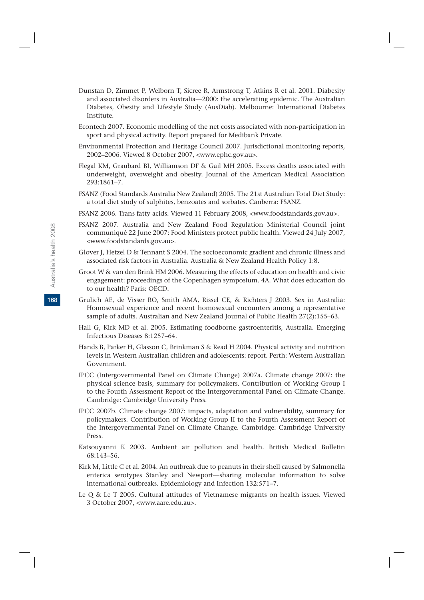- Dunstan D, Zimmet P, Welborn T, Sicree R, Armstrong T, Atkins R et al. 2001. Diabesity and associated disorders in Australia—2000: the accelerating epidemic. The Australian Diabetes, Obesity and Lifestyle Study (AusDiab). Melbourne: International Diabetes Institute.
- Econtech 2007. Economic modelling of the net costs associated with non-participation in sport and physical activity. Report prepared for Medibank Private.
- Environmental Protection and Heritage Council 2007. Jurisdictional monitoring reports, 2002–2006. Viewed 8 October 2007, <www.ephc.gov.au>.
- Flegal KM, Graubard BI, Williamson DF & Gail MH 2005. Excess deaths associated with underweight, overweight and obesity. Journal of the American Medical Association 293:1861–7.
- FSANZ (Food Standards Australia New Zealand) 2005. The 21st Australian Total Diet Study: a total diet study of sulphites, benzoates and sorbates. Canberra: FSANZ.
- FSANZ 2006. Trans fatty acids. Viewed 11 February 2008, <www.foodstandards.gov.au>.
- FSANZ 2007. Australia and New Zealand Food Regulation Ministerial Council joint communiqué 22 June 2007: Food Ministers protect public health. Viewed 24 July 2007, <www.foodstandards.gov.au>.
- Glover J, Hetzel D & Tennant S 2004. The socioeconomic gradient and chronic illness and associated risk factors in Australia. Australia & New Zealand Health Policy 1:8.
- Groot W & van den Brink HM 2006. Measuring the effects of education on health and civic engagement: proceedings of the Copenhagen symposium. 4A. What does education do to our health? Paris: OECD.
- Grulich AE, de Visser RO, Smith AMA, Rissel CE, & Richters J 2003. Sex in Australia: Homosexual experience and recent homosexual encounters among a representative sample of adults. Australian and New Zealand Journal of Public Health 27(2):155–63.
- Hall G, Kirk MD et al. 2005. Estimating foodborne gastroenteritis, Australia. Emerging Infectious Diseases 8:1257–64.
- Hands B, Parker H, Glasson C, Brinkman S & Read H 2004. Physical activity and nutrition levels in Western Australian children and adolescents: report. Perth: Western Australian Government.
- IPCC (Intergovernmental Panel on Climate Change) 2007a. Climate change 2007: the physical science basis, summary for policymakers. Contribution of Working Group I to the Fourth Assessment Report of the Intergovernmental Panel on Climate Change. Cambridge: Cambridge University Press.
- IPCC 2007b. Climate change 2007: impacts, adaptation and vulnerability, summary for policymakers. Contribution of Working Group II to the Fourth Assessment Report of the Intergovernmental Panel on Climate Change. Cambridge: Cambridge University Press.
- Katsouyanni K 2003. Ambient air pollution and health. British Medical Bulletin 68:143–56.
- Kirk M, Little C et al. 2004. An outbreak due to peanuts in their shell caused by Salmonella enterica serotypes Stanley and Newport—sharing molecular information to solve international outbreaks. Epidemiology and Infection 132:571–7.
- Le Q & Le T 2005. Cultural attitudes of Vietnamese migrants on health issues. Viewed 3 October 2007, <www.aare.edu.au>.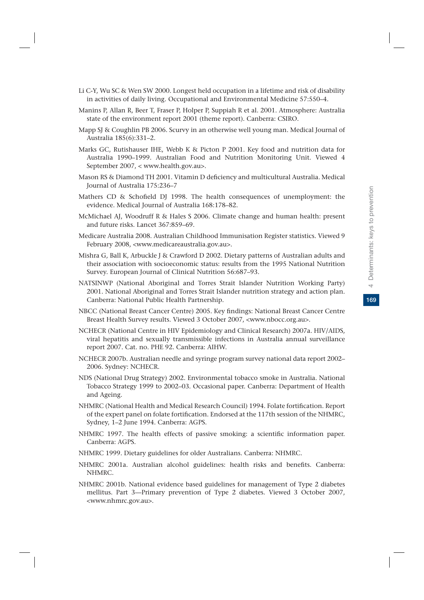- Li C-Y, Wu SC & Wen SW 2000. Longest held occupation in a lifetime and risk of disability in activities of daily living. Occupational and Environmental Medicine 57:550–4.
- Manins P, Allan R, Beer T, Fraser P, Holper P, Suppiah R et al. 2001. Atmosphere: Australia state of the environment report 2001 (theme report). Canberra: CSIRO.
- Mapp SJ & Coughlin PB 2006. Scurvy in an otherwise well young man. Medical Journal of Australia 185(6):331–2.
- Marks GC, Rutishauser IHE, Webb K & Picton P 2001. Key food and nutrition data for Australia 1990–1999. Australian Food and Nutrition Monitoring Unit. Viewed 4 September 2007, < www.health.gov.au>.
- Mason RS & Diamond TH 2001. Vitamin D deficiency and multicultural Australia. Medical Journal of Australia 175:236–7
- Mathers CD & Schofield DJ 1998. The health consequences of unemployment: the evidence. Medical Journal of Australia 168:178–82.
- McMichael AJ, Woodruff R & Hales S 2006. Climate change and human health: present and future risks. Lancet 367:859–69.
- Medicare Australia 2008. Australian Childhood Immunisation Register statistics. Viewed 9 February 2008, <www.medicareaustralia.gov.au>.
- Mishra G, Ball K, Arbuckle J & Crawford D 2002. Dietary patterns of Australian adults and their association with socioeconomic status: results from the 1995 National Nutrition Survey. European Journal of Clinical Nutrition 56:687–93.
- NATSINWP (National Aboriginal and Torres Strait Islander Nutrition Working Party) 2001. National Aboriginal and Torres Strait Islander nutrition strategy and action plan. Canberra: National Public Health Partnership.
- NBCC (National Breast Cancer Centre) 2005. Key findings: National Breast Cancer Centre Breast Health Survey results. Viewed 3 October 2007, <www.nbocc.org.au>.
- NCHECR (National Centre in HIV Epidemiology and Clinical Research) 2007a. HIV/AIDS, viral hepatitis and sexually transmissible infections in Australia annual surveillance report 2007. Cat. no. PHE 92. Canberra: AIHW.
- NCHECR 2007b. Australian needle and syringe program survey national data report 2002– 2006. Sydney: NCHECR.
- NDS (National Drug Strategy) 2002. Environmental tobacco smoke in Australia. National Tobacco Strategy 1999 to 2002–03. Occasional paper. Canberra: Department of Health and Ageing.
- NHMRC (National Health and Medical Research Council) 1994. Folate fortification. Report of the expert panel on folate fortification. Endorsed at the 117th session of the NHMRC, Sydney, 1–2 June 1994. Canberra: AGPS.
- NHMRC 1997. The health effects of passive smoking: a scientific information paper. Canberra: AGPS.
- NHMRC 1999. Dietary guidelines for older Australians. Canberra: NHMRC.
- NHMRC 2001a. Australian alcohol guidelines: health risks and benefits. Canberra: NHMRC.
- NHMRC 2001b. National evidence based guidelines for management of Type 2 diabetes mellitus. Part 3—Primary prevention of Type 2 diabetes. Viewed 3 October 2007, <www.nhmrc.gov.au>.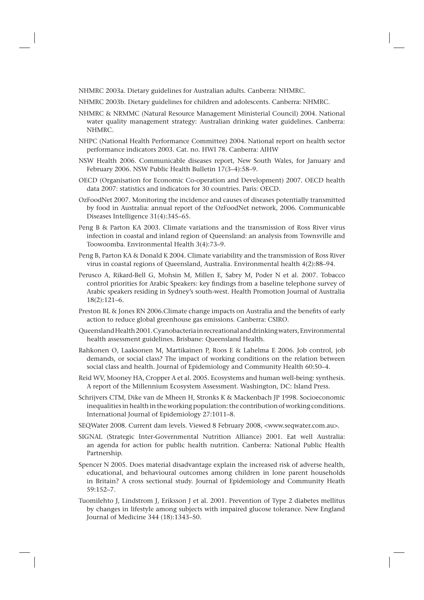NHMRC 2003a. Dietary guidelines for Australian adults. Canberra: NHMRC.

- NHMRC 2003b. Dietary guidelines for children and adolescents. Canberra: NHMRC.
- NHMRC & NRMMC (Natural Resource Management Ministerial Council) 2004. National water quality management strategy: Australian drinking water guidelines. Canberra: NHMRC.
- NHPC (National Health Performance Committee) 2004. National report on health sector performance indicators 2003. Cat. no. HWI 78. Canberra: AIHW
- NSW Health 2006. Communicable diseases report, New South Wales, for January and February 2006. NSW Public Health Bulletin 17(3–4):58–9.
- OECD (Organisation for Economic Co-operation and Development) 2007. OECD health data 2007: statistics and indicators for 30 countries. Paris: OECD.
- OzFoodNet 2007. Monitoring the incidence and causes of diseases potentially transmitted by food in Australia: annual report of the OzFoodNet network, 2006. Communicable Diseases Intelligence 31(4):345–65.
- Peng B & Parton KA 2003. Climate variations and the transmission of Ross River virus infection in coastal and inland region of Queensland: an analysis from Townsville and Toowoomba. Environmental Health 3(4):73–9.
- Peng B, Parton KA & Donald K 2004. Climate variability and the transmission of Ross River virus in coastal regions of Queensland, Australia. Environmental health 4(2):88–94.
- Perusco A, Rikard-Bell G, Mohsin M, Millen E, Sabry M, Poder N et al. 2007. Tobacco control priorities for Arabic Speakers: key findings from a baseline telephone survey of Arabic speakers residing in Sydney's south-west. Health Promotion Journal of Australia 18(2):121–6.
- Preston BL & Jones RN 2006.Climate change impacts on Australia and the benefits of early action to reduce global greenhouse gas emissions. Canberra: CSIRO.
- Queensland Health 2001. Cyanobacteria in recreational and drinking waters, Environmental health assessment guidelines. Brisbane: Queensland Health.
- Rahkonen O, Laaksonen M, Martikainen P, Roos E & Lahelma E 2006. Job control, job demands, or social class? The impact of working conditions on the relation between social class and health. Journal of Epidemiology and Community Health 60:50–4.
- Reid WV, Mooney HA, Cropper A et al. 2005. Ecosystems and human well-being: synthesis. A report of the Millennium Ecosystem Assessment. Washington, DC: Island Press.
- Schrijvers CTM, Dike van de Mheen H, Stronks K & Mackenbach JP 1998. Socioeconomic inequalities in health in the working population: the contribution of working conditions. International Journal of Epidemiology 27:1011–8.
- SEQWater 2008. Current dam levels. Viewed 8 February 2008, <www.seqwater.com.au>.
- SIGNAL (Strategic Inter-Governmental Nutrition Alliance) 2001. Eat well Australia: an agenda for action for public health nutrition. Canberra: National Public Health Partnership.
- Spencer N 2005. Does material disadvantage explain the increased risk of adverse health, educational, and behavioural outcomes among children in lone parent households in Britain? A cross sectional study. Journal of Epidemiology and Community Heath 59:152–7.
- Tuomilehto J, Lindstrom J, Eriksson J et al. 2001. Prevention of Type 2 diabetes mellitus by changes in lifestyle among subjects with impaired glucose tolerance. New England Journal of Medicine 344 (18):1343–50.